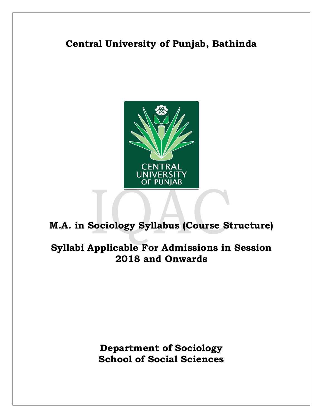# **Central University of Punjab, Bathinda**



# **M.A. in Sociology Syllabus (Course Structure)**

# **Syllabi Applicable For Admissions in Session 2018 and Onwards**

**Department of Sociology School of Social Sciences**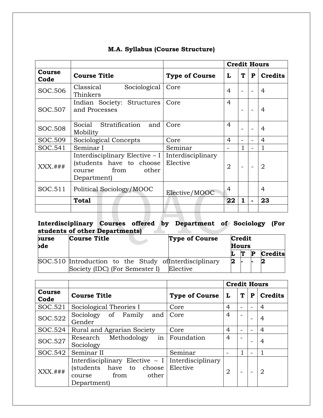|                |                                                                                                    |                               | <b>Credit Hours</b> |   |                          |                |  |
|----------------|----------------------------------------------------------------------------------------------------|-------------------------------|---------------------|---|--------------------------|----------------|--|
| Course<br>Code | <b>Course Title</b>                                                                                | <b>Type of Course</b>         | L                   | T | P                        | <b>Credits</b> |  |
| SOC.506        | Sociological<br>Classical<br>Thinkers                                                              | Core                          | 4                   |   |                          | $\overline{4}$ |  |
| SOC.507        | Indian Society: Structures<br>and Processes                                                        | Core                          | $\overline{4}$      |   |                          | $\overline{4}$ |  |
| SOC.508        | Social Stratification and<br>Mobility                                                              | Core                          | 4                   |   |                          | 4              |  |
| SOC.509        | Sociological Concepts                                                                              | Core                          | 4                   |   | $\overline{\phantom{0}}$ | $\overline{4}$ |  |
| SOC.541        | Seminar I                                                                                          | Seminar                       |                     |   |                          |                |  |
| $XXX.+$ ###    | Interdisciplinary Elective $-1$<br>(students have to choose<br>course from<br>other<br>Department) | Interdisciplinary<br>Elective | $\overline{2}$      |   |                          | $\overline{2}$ |  |
| SOC.511        | Political Sociology/MOOC                                                                           | Elective/MOOC                 | 4                   |   |                          | 4              |  |
|                | <b>Total</b>                                                                                       |                               | 22                  | 1 | ۰                        | 23             |  |
|                |                                                                                                    |                               |                     |   |                          |                |  |

# **M.A. Syllabus (Course Structure)**

### **Interdisciplinary Courses offered by Department of Sociology (For students of other Departments)**

| burse<br>bde | <b>Course Title</b>                                                                      |  | <b>Type of Course</b> | Credit<br><b>Hours</b> |   |  |         |
|--------------|------------------------------------------------------------------------------------------|--|-----------------------|------------------------|---|--|---------|
|              |                                                                                          |  |                       |                        | T |  | Credits |
|              | SOC.510 Introduction to the Study of Interdisciplinary<br>Society (IDC) (For Semester I) |  | Elective              |                        |   |  |         |

|                |                                                                                                                         |                       | <b>Credit Hours</b> |   |                          |                |
|----------------|-------------------------------------------------------------------------------------------------------------------------|-----------------------|---------------------|---|--------------------------|----------------|
| Course<br>Code | <b>Course Title</b>                                                                                                     | <b>Type of Course</b> | L                   | T | P                        | <b>Credits</b> |
| SOC.521        | Sociological Theories I                                                                                                 | Core                  | 4                   |   |                          | 4              |
| SOC.522        | Sociology of Family<br>and<br>Gender                                                                                    | Core                  | 4                   |   | $\overline{\phantom{0}}$ | 4              |
| SOC.524        | Rural and Agrarian Society                                                                                              | Core                  | 4                   |   |                          | 4              |
| SOC.527        | $\left  \text{in} \right $<br>Research Methodology<br>Sociology                                                         | Foundation            | 4                   |   |                          | 4              |
| SOC.542        | Seminar II                                                                                                              | Seminar               |                     |   | $\overline{\phantom{0}}$ |                |
| XXX.###        | Interdisciplinary Elective $-1$ Interdisciplinary<br>(students have to choose<br>from<br>other<br>course<br>Department) | Elective              | $\overline{2}$      |   |                          | 2              |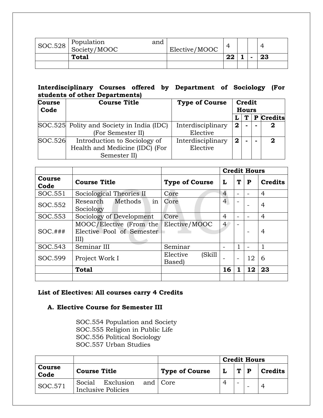| $\begin{array}{c c} \n\mid \text{SOC.528} & \text{Population} \\ \n\underline{\text{Society/MOOC}} & \n\end{array}$ | and | Elective/MOOC |    |  |    |
|---------------------------------------------------------------------------------------------------------------------|-----|---------------|----|--|----|
| <b>Total</b>                                                                                                        |     |               | 22 |  | 23 |
|                                                                                                                     |     |               |    |  |    |

# **Interdisciplinary Courses offered by Department of Sociology (For students of other Departments)**

| <b>Course</b><br>Code | <b>Course Title</b>                                                            | <b>Type of Course</b>         | Credit<br><b>Hours</b> |   |  |           |
|-----------------------|--------------------------------------------------------------------------------|-------------------------------|------------------------|---|--|-----------|
|                       |                                                                                |                               |                        | Т |  | P Credits |
|                       | SOC.525 Polity and Society in India (IDC)<br>(For Semester II)                 | Interdisciplinary<br>Elective | $\overline{2}$         |   |  | 2         |
| SOC.526               | Introduction to Sociology of<br>Health and Medicine (IDC) (For<br>Semester II) | Interdisciplinary<br>Elective | $\mathbf{2}$           |   |  | 2         |

|                |                                                           |                              | <b>Credit Hours</b> |   |    |                |
|----------------|-----------------------------------------------------------|------------------------------|---------------------|---|----|----------------|
| Course<br>Code | <b>Course Title</b>                                       | <b>Type of Course</b>        | L                   | T | P  | <b>Credits</b> |
| SOC.551        | Sociological Theories II                                  | Core                         | $\overline{4}$      |   |    | 4              |
| SOC.552        | Methods<br>Research<br>in<br>Sociology                    | Core                         | $\overline{4}$      |   |    | 4              |
| SOC.553        | Sociology of Development                                  | Core                         | $\overline{4}$      |   |    | 4              |
| $SOC$ .###     | MOOC/Elective (From the<br>Elective Pool of Semester<br>Ш | Elective/MOOC                | $\overline{4}$      |   |    | 4              |
| SOC.543        | Seminar III                                               | Seminar                      |                     |   |    |                |
| SOC.599        | Project Work I                                            | Elective<br>(Skill<br>Based) |                     |   | 12 | 6              |
|                | <b>Total</b>                                              |                              | 16                  | 1 | 12 | 23             |
|                |                                                           |                              |                     |   |    |                |

# **List of Electives: All courses carry 4 Credits**

# **A. Elective Course for Semester III**

SOC.554 Population and Society SOC.555 Religion in Public Life SOC.556 Political Sociology SOC.557 Urban Studies

|                       |                                                           |                       | <b>Credit Hours</b> |       |  |                |
|-----------------------|-----------------------------------------------------------|-----------------------|---------------------|-------|--|----------------|
| <b>Course</b><br>Code | <b>Course Title</b>                                       | <b>Type of Course</b> |                     | T   P |  | <b>Credits</b> |
| SOC.571               | Exclusion and Core<br>Social<br><b>Inclusive Policies</b> |                       |                     |       |  |                |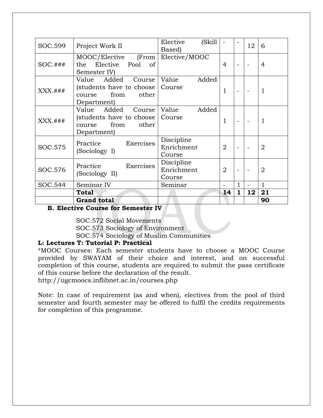|            | <b>Grand total</b>                                                                                      |                                    |                |                          |    | 90             |
|------------|---------------------------------------------------------------------------------------------------------|------------------------------------|----------------|--------------------------|----|----------------|
|            | <b>Total</b>                                                                                            |                                    | 14             | $\mathbf{1}$             | 12 | 21             |
| SOC.544    | Seminar IV                                                                                              | Seminar                            |                | 1                        |    | 1              |
| SOC.576    | Exercises<br>Practice<br>(Sociology II)                                                                 | Discipline<br>Enrichment<br>Course | $\overline{2}$ | $\overline{\phantom{0}}$ |    | $\overline{2}$ |
| SOC.575    | Exercises<br>Practice<br>(Sociology I)                                                                  | Discipline<br>Enrichment<br>Course | $\overline{2}$ | $\overline{a}$           |    | $\overline{2}$ |
| $XXX$ .### | Added<br>Course<br>Value<br>(students have to choose   Course<br>from<br>other<br>course<br>Department) | Added<br>Value                     | $\mathbf{1}$   | $\overline{\phantom{a}}$ |    | 1              |
| $XXX$ .### | Added Course<br>Value<br>(students have to choose   Course<br>from<br>other<br>course<br>Department)    | Value<br>Added                     | $\mathbf{1}$   | $\overline{\phantom{a}}$ |    | 1              |
| $SOC$ .### | MOOC/Elective (From<br>Elective Pool<br>the<br>of<br>Semester IV)                                       | Elective/MOOC                      | $\overline{4}$ | ÷.                       |    | 4              |
| SOC.599    | Project Work II                                                                                         | Elective<br>(Skill<br>Based)       |                |                          | 12 | 6              |

# **B. Elective Course for Semester IV**

SOC.572 Social Movements

SOC.573 Sociology of Environment

SOC.574 Sociology of Muslim Communities

### **L: Lectures T: Tutorial P: Practical**

\*MOOC Courses: Each semester students have to choose a MOOC Course provided by SWAYAM of their choice and interest, and on successful completion of this course, students are required to submit the pass certificate of this course before the declaration of the result.

<http://ugcmoocs.inflibnet.ac.in/courses.php>

Note: In case of requirement (as and when), electives from the pool of third semester and fourth semester may be offered to fulfil the credits requirements for completion of this programme.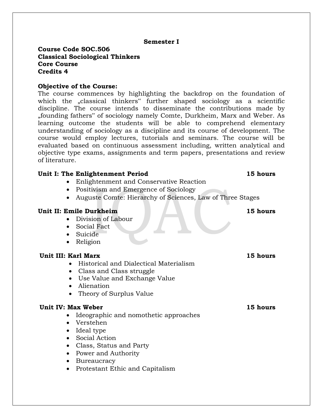### **Semester I**

### **Course Code SOC.506 Classical Sociological Thinkers Core Course Credits 4**

### **Objective of the Course:**

The course commences by highlighting the backdrop on the foundation of which the "classical thinkers" further shaped sociology as a scientific discipline. The course intends to disseminate the contributions made by "founding fathers" of sociology namely Comte, Durkheim, Marx and Weber. As learning outcome the students will be able to comprehend elementary understanding of sociology as a discipline and its course of development. The course would employ lectures, tutorials and seminars. The course will be evaluated based on continuous assessment including, written analytical and objective type exams, assignments and term papers, presentations and review of literature.

### **Unit I: The Enlightenment Period 15 hours**

- Enlightenment and Conservative Reaction
- Positivism and Emergence of Sociology
- Auguste Comte: Hierarchy of Sciences, Law of Three Stages

### **Unit II: Emile Durkheim 15 hours**

- Division of Labour
- Social Fact
- Suicide
- Religion

### **Unit III: Karl Marx 15 hours**

- Historical and Dialectical Materialism
- Class and Class struggle
- Use Value and Exchange Value
- Alienation
- Theory of Surplus Value

### **Unit IV: Max Weber 15 hours**

- Ideographic and nomothetic approaches
- Verstehen
- Ideal type
- Social Action
- Class, Status and Party
- Power and Authority
- Bureaucracy
- Protestant Ethic and Capitalism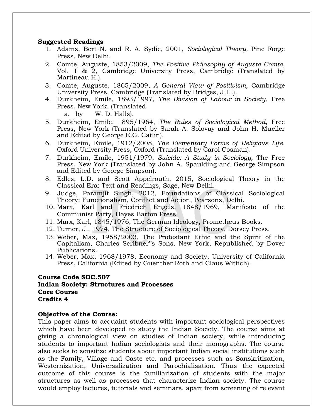### **Suggested Readings**

- 1. Adams, Bert N. and R. A. Sydie, 2001, *Sociological Theory,* Pine Forge Press, New Delhi.
- 2. Comte, Auguste, 1853/2009, *The Positive Philosophy of Auguste Comte*, Vol. 1 & 2, Cambridge University Press, Cambridge (Translated by Martineau H.).
- 3. Comte, Auguste, 1865/2009, *A General View of Positivism*, Cambridge University Press, Cambridge (Translated by Bridges, J.H.).
- 4. Durkheim, Emile, 1893/1997, *The Division of Labour in Society*, Free Press, New York. (Translated
	- a. by W. D. Halls).
- 5. Durkheim, Emile, 1895/1964, *The Rules of Sociological Method,* Free Press, New York (Translated by Sarah A. Solovay and John H. Mueller and Edited by George E.G. Catlin).
- 6. Durkheim, Emile, 1912/2008, *The Elementary Forms of Religious Life*, Oxford University Press, Oxford (Translated by Carol Cosman).
- 7. Durkheim, Emile, 1951/1979, *Suicide: A Study in Sociology,* The Free Press, New York (Translated by John A. Spaulding and George Simpson and Edited by George Simpson).
- 8. Edles, L.D. and Scott Appelrouth, 2015, Sociological Theory in the Classical Era: Text and Readings, Sage, New Delhi.
- 9. Judge, Paramjit Singh, 2012, Foundations of Classical Sociological Theory: Functionalism, Conflict and Action, Pearsons, Delhi.
- 10. Marx, Karl and Friedrich Engels, 1848/1969, Manifesto of the Communist Party, Hayes Barton Press.
- 11. Marx, Karl, 1845/1976, The German Ideology, Prometheus Books.
- 12. Turner, J., 1974, The Structure of Sociological Theory, Dorsey Press.
- 13. Weber, Max, 1958/2003, The Protestant Ethic and the Spirit of the Capitalism, Charles Scribner"s Sons, New York, Republished by Dover Publications.
- 14. Weber, Max, 1968/1978, Economy and Society, University of California Press, California (Edited by Guenther Roth and Claus Wittich).

### **Course Code SOC.507 Indian Society: Structures and Processes Core Course Credits 4**

### **Objective of the Course:**

This paper aims to acquaint students with important sociological perspectives which have been developed to study the Indian Society. The course aims at giving a chronological view on studies of Indian society, while introducing students to important Indian sociologists and their monographs. The course also seeks to sensitize students about important Indian social institutions such as the Family, Village and Caste etc. and processes such as Sanskritization, Westernization, Universalization and Parochialisation. Thus the expected outcome of this course is the familiarization of students with the major structures as well as processes that characterize Indian society. The course would employ lectures, tutorials and seminars, apart from screening of relevant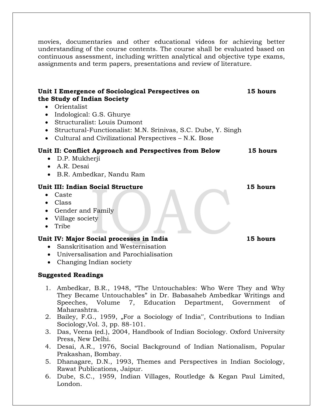movies, documentaries and other educational videos for achieving better understanding of the course contents. The course shall be evaluated based on continuous assessment, including written analytical and objective type exams, assignments and term papers, presentations and review of literature.

| Unit I Emergence of Sociological Perspectives on<br>the Study of Indian Society<br>• Orientalist<br>Indological: G.S. Ghurye<br>$\bullet$<br>Structuralist: Louis Dumont<br>$\bullet$<br>Structural-Functionalist: M.N. Srinivas, S.C. Dube, Y. Singh<br>$\bullet$<br>Cultural and Civilizational Perspectives – N.K. Bose<br>$\bullet$ | 15 hours        |
|-----------------------------------------------------------------------------------------------------------------------------------------------------------------------------------------------------------------------------------------------------------------------------------------------------------------------------------------|-----------------|
| Unit II: Conflict Approach and Perspectives from Below<br>D.P. Mukherji<br>$\bullet$<br>A.R. Desai<br>$\bullet$<br>B.R. Ambedkar, Nandu Ram<br>$\bullet$                                                                                                                                                                                | 15 hours        |
| Unit III: Indian Social Structure<br>Caste<br>٠<br>Class<br>$\bullet$<br>Gender and Family<br>$\bullet$<br>Village society<br>$\bullet$<br>Tribe<br>$\bullet$                                                                                                                                                                           | 15 hours        |
| Unit IV: Major Social processes in India                                                                                                                                                                                                                                                                                                | <b>15 hours</b> |

- Sanskritisation and Westernisation
- Universalisation and Parochialisation
- Changing Indian society

- 1. Ambedkar, B.R., 1948, "The Untouchables: Who Were They and Why They Became Untouchables" in Dr. Babasaheb Ambedkar Writings and Speeches, Volume 7, Education Department, Government of Maharashtra.
- 2. Bailey, F.G., 1959, "For a Sociology of India", Contributions to Indian Sociology,Vol. 3, pp. 88-101.
- 3. Das, Veena (ed.), 2004, Handbook of Indian Sociology. Oxford University Press, New Delhi.
- 4. Desai, A.R., 1976, Social Background of Indian Nationalism, Popular Prakashan, Bombay.
- 5. Dhanagare, D.N., 1993, Themes and Perspectives in Indian Sociology, Rawat Publications, Jaipur.
- 6. Dube, S.C., 1959, Indian Villages, Routledge & Kegan Paul Limited, London.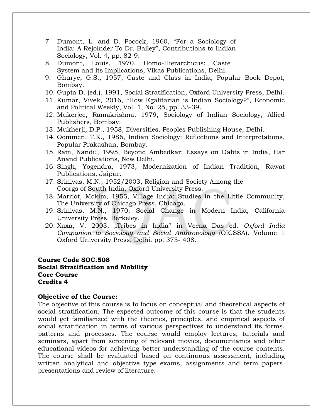- 7. Dumont, L. and D. Pocock, 1960, "For a Sociology of India: A Rejoinder To Dr. Bailey", Contributions to Indian Sociology, Vol. 4, pp. 82-9.
- 8. Dumont, Louis, 1970, Homo-Hierarchicus: Caste System and its Implications, Vikas Publications, Delhi.
- 9. Ghurye, G.S., 1957, Caste and Class in India, Popular Book Depot, Bombay.
- 10. Gupta D. (ed.), 1991, Social Stratification, Oxford University Press, Delhi.
- 11. Kumar, Vivek, 2016, "How Egalitarian is Indian Sociology?", Economic and Political Weekly, Vol. 1, No. 25, pp. 33-39.
- 12. Mukerjee, Ramakrishna, 1979, Sociology of Indian Sociology, Allied Publishers, Bombay.
- 13. Mukherji, D.P., 1958, Diversities, Peoples Publishing House, Delhi.
- 14. Oommen, T.K., 1986, Indian Sociology: Reflections and Interpretations, Popular Prakashan, Bombay.
- 15. Ram, Nandu, 1995, Beyond Ambedkar: Essays on Dalits in India, Har Anand Publications, New Delhi.
- 16. Singh, Yogendra, 1973, Modernization of Indian Tradition, Rawat Publications, Jaipur.
- 17. Srinivas, M.N., 1952/2003, Religion and Society Among the Coorgs of South India, Oxford University Press.
- 18. Marriot, Mckim, 1955, Village India: Studies in the Little Community, The University of Chicago Press, Chicago.
- 19. Srinivas, M.N., 1970, Social Change in Modern India, California University Press, Berkeley.
- 20. Xaxa, V, 2003, "Tribes in India" in Veena Das ed. *Oxford India Companion to Sociology and Social Anthropology* (OICSSA). Volume 1 Oxford University Press, Delhi. pp. 373- 408.

### **Course Code SOC.508 Social Stratification and Mobility Core Course Credits 4**

### **Objective of the Course:**

The objective of this course is to focus on conceptual and theoretical aspects of social stratification. The expected outcome of this course is that the students would get familiarized with the theories, principles, and empirical aspects of social stratification in terms of various perspectives to understand its forms, patterns and processes. The course would employ lectures, tutorials and seminars, apart from screening of relevant movies, documentaries and other educational videos for achieving better understanding of the course contents. The course shall be evaluated based on continuous assessment, including written analytical and objective type exams, assignments and term papers, presentations and review of literature.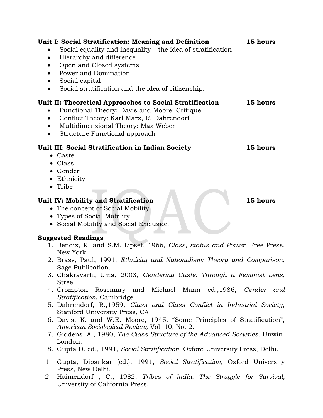| Unit I: Social Stratification: Meaning and Definition<br>Social equality and inequality - the idea of stratification<br>Hierarchy and difference<br>٠<br>Open and Closed systems<br>$\bullet$<br>Power and Domination<br>Social capital<br>Social stratification and the idea of citizenship. | 15 hours |
|-----------------------------------------------------------------------------------------------------------------------------------------------------------------------------------------------------------------------------------------------------------------------------------------------|----------|
| Unit II: Theoretical Approaches to Social Stratification<br>Functional Theory: Davis and Moore; Critique<br>Conflict Theory: Karl Marx, R. Dahrendorf<br>Multidimensional Theory: Max Weber<br>Structure Functional approach                                                                  | 15 hours |
| Unit III: Social Stratification in Indian Society                                                                                                                                                                                                                                             | 15 hours |
| • Caste                                                                                                                                                                                                                                                                                       |          |
| • Class                                                                                                                                                                                                                                                                                       |          |
| • Gender                                                                                                                                                                                                                                                                                      |          |
| Ethnicity<br>$\bullet$                                                                                                                                                                                                                                                                        |          |
| • Tribe                                                                                                                                                                                                                                                                                       |          |
| Unit IV: Mobility and Stratification                                                                                                                                                                                                                                                          | 15 hours |
| • The concept of Social Mobility                                                                                                                                                                                                                                                              |          |
| • Types of Social Mobility                                                                                                                                                                                                                                                                    |          |
| • Social Mobility and Social Exclusion                                                                                                                                                                                                                                                        |          |
|                                                                                                                                                                                                                                                                                               |          |
| <b>Suggested Readings</b>                                                                                                                                                                                                                                                                     |          |
| 1. Bendix, R. and S.M. Lipset, 1966, Class, status and Power, Free Press,                                                                                                                                                                                                                     |          |
| New York.                                                                                                                                                                                                                                                                                     |          |
| 2. Brass, Paul, 1991, Ethnicity and Nationalism: Theory and Comparison,                                                                                                                                                                                                                       |          |
| Sage Publication.                                                                                                                                                                                                                                                                             |          |
| 3. Chakravarti, Uma, 2003, Gendering Caste: Through a Feminist Lens,                                                                                                                                                                                                                          |          |
| Stree.                                                                                                                                                                                                                                                                                        |          |
| 4. Crompton Rosemary and Michael Mann ed., 1986, Gender and                                                                                                                                                                                                                                   |          |
| Stratification. Cambridge                                                                                                                                                                                                                                                                     |          |
| 5. Dahrendorf, R., 1959, Class and Class Conflict in Industrial Society,                                                                                                                                                                                                                      |          |
| Stanford University Press, CA                                                                                                                                                                                                                                                                 |          |
| 6. Davis, K. and W.E. Moore, 1945. "Some Principles of Stratification",                                                                                                                                                                                                                       |          |
| American Sociological Review, Vol. 10, No. 2.                                                                                                                                                                                                                                                 |          |

- 7. Giddens, A., 1980, *The Class Structure of the Advanced Societies*. Unwin, London.
- 8. Gupta D. ed., 1991, *Social Stratification*, Oxford University Press, Delhi.
- 1. Gupta, Dipankar (ed.), 1991, *Social Stratification*, Oxford University Press, New Delhi.
- 2. Haimendorf , C., 1982, *Tribes of India: The Struggle for Survival,* University of California Press.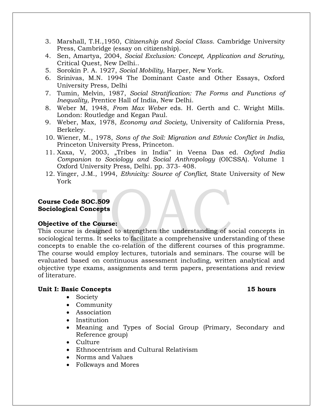- 3. Marshall, T.H.,1950, *Citizenship and Social Class*. Cambridge University Press, Cambridge (essay on citizenship).
- 4. Sen, Amartya, 2004, *Social Exclusion: Concept, Application and Scrutiny,* Critical Quest, New Delhi..
- 5. Sorokin P. A. 1927, *Social Mobility*, Harper, New York.
- 6. Srinivas, M.N. 1994 The Dominant Caste and Other Essays, Oxford University Press, Delhi
- 7. Tumin, Melvin, 1987, *Social Stratification: The Forms and Functions of Inequality*, Prentice Hall of India, New Delhi.
- 8. Weber M, 1948, *From Max Weber* eds. H. Gerth and C. Wright Mills. London: Routledge and Kegan Paul.
- 9. Weber, Max, 1978, *Economy and Society*, University of California Press, Berkeley.
- 10. Wiener, M., 1978, *Sons of the Soil: Migration and Ethnic Conflict in India*, Princeton University Press, Princeton.
- 11. Xaxa, V, 2003, "Tribes in India" in Veena Das ed. *Oxford India Companion to Sociology and Social Anthropology* (OICSSA). Volume 1 Oxford University Press, Delhi. pp. 373- 408.
- 12. Yinger, J.M., 1994, *Ethnicity: Source of Conflict,* State University of New York

### **Course Code SOC.509 Sociological Concepts**

### **Objective of the Course:**

This course is designed to strengthen the understanding of social concepts in sociological terms. It seeks to facilitate a comprehensive understanding of these concepts to enable the co-relation of the different courses of this programme. The course would employ lectures, tutorials and seminars. The course will be evaluated based on continuous assessment including, written analytical and objective type exams, assignments and term papers, presentations and review of literature.

### **Unit I: Basic Concepts 15 hours**

- Society
- Community
- Association
- Institution
- Meaning and Types of Social Group (Primary, Secondary and Reference group)
- Culture
- Ethnocentrism and Cultural Relativism
- Norms and Values
- Folkways and Mores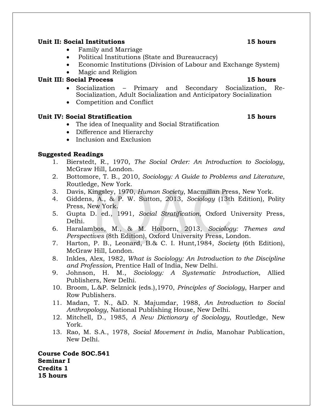### **Unit II: Social Institutions 15 hours**

- Family and Marriage
- Political Institutions (State and Bureaucracy)
- Economic Institutions (Division of Labour and Exchange System)
- Magic and Religion

# **Unit III: Social Process 15 hours**

- Socialization Primary and Secondary Socialization, Re-Socialization, Adult Socialization and Anticipatory Socialization
- Competition and Conflict

# **Unit IV: Social Stratification 15 hours**

- The idea of Inequality and Social Stratification
- Difference and Hierarchy
- Inclusion and Exclusion

# **Suggested Readings**

- 1. Bierstedt, R., 1970, *The Social Order: An Introduction to Sociology*, McGraw Hill, London.
- 2. Bottomore, T. B., 2010, *Sociology: A Guide to Problems and Literature*, Routledge, New York.
- 3. Davis, Kingsley, 1970, *Human Society*, Macmillan Press, New York.
- 4. Giddens, A., & P. W. Sutton, 2013, *Sociology* (13th Edition)*,* Polity Press, New York.
- 5. Gupta D. ed., 1991, *Social Stratification*, Oxford University Press, Delhi.
- 6. Haralambos, M., & M. Holborn, 2013, *Sociology: Themes and Perspectives* (8th Edition), Oxford University Press, London.
- 7. Harton, P. B., Leonard, B.& C. I. Hunt,1984, *Society* (6th Edition), McGraw Hill, London.
- 8. Inkles, Alex, 1982, *What is Sociology: An Introduction to the Discipline and Profession*, Prentice Hall of India, New Delhi.
- 9. Johnson, H. M., *Sociology: A Systematic Introduction*, Allied Publishers, New Delhi.
- 10. Broom, L.&P. Selznick (eds.),1970, *Principles of Sociology*, Harper and Row Publishers.
- 11. Madan, T. N., &D. N. Majumdar, 1988, *An Introduction to Social Anthropology*, National Publishing House, New Delhi.
- 12. Mitchell, D., 1985, *A New Dictionary of Sociology*, Routledge, New York.
- 13. Rao, M. S.A., 1978, *Social Movement in India*, Manohar Publication, New Delhi.

**Course Code SOC.541 Seminar I Credits 1 15 hours**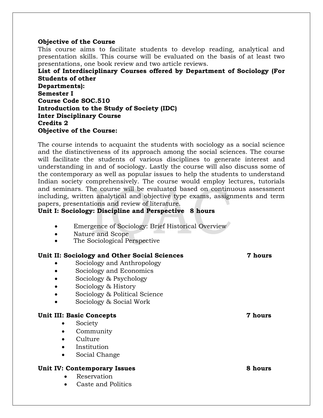### **Objective of the Course**

This course aims to facilitate students to develop reading, analytical and presentation skills. This course will be evaluated on the basis of at least two presentations, one book review and two article reviews.

**List of Interdisciplinary Courses offered by Department of Sociology (For Students of other Departments): Semester I Course Code SOC.510 Introduction to the Study of Society (IDC) Inter Disciplinary Course Credits 2 Objective of the Course:**

The course intends to acquaint the students with sociology as a social science and the distinctiveness of its approach among the social sciences. The course will facilitate the students of various disciplines to generate interest and understanding in and of sociology. Lastly the course will also discuss some of the contemporary as well as popular issues to help the students to understand Indian society comprehensively. The course would employ lectures, tutorials and seminars. The course will be evaluated based on continuous assessment including, written analytical and objective type exams, assignments and term papers, presentations and review of literature.

### **Unit I: Sociology: Discipline and Perspective 8 hours**

- Emergence of Sociology: Brief Historical Overview
- Nature and Scope
- The Sociological Perspective

### **Unit II: Sociology and Other Social Sciences 7 hours**

- Sociology and Anthropology
- Sociology and Economics
- Sociology & Psychology
- Sociology & History
- Sociology & Political Science
- Sociology & Social Work

### **Unit III: Basic Concepts 7 hours**

### • Society

- Community
- Culture
- Institution
- Social Change

### **Unit IV: Contemporary Issues 8 hours**

- Reservation
- Caste and Politics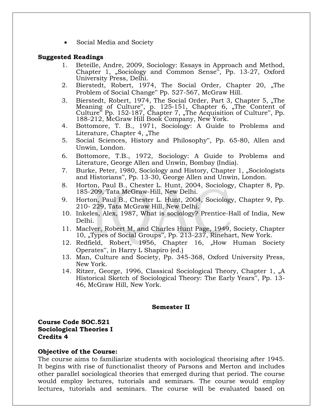Social Media and Society

### **Suggested Readings**

- 1. Beteille, Andre, 2009, Sociology: Essays in Approach and Method, Chapter 1, "Sociology and Common Sense", Pp. 13-27, Oxford University Press, Delhi.
- 2. Bierstedt, Robert, 1974, The Social Order, Chapter 20, "The Problem of Social Change" Pp. 527-567, McGraw Hill.
- 3. Bierstedt, Robert, 1974, The Social Order, Part 3, Chapter 5, "The Meaning of Culture", p. 125-151, Chapter 6, "The Content of Culture<sup>"</sup> Pp. 152-187, Chapter 7, "The Acquisition of Culture", Pp. 188-212, McGraw Hill Book Company, New York.
- 4. Bottomore, T. B., 1971, Sociology: A Guide to Problems and Literature, Chapter 4, "The
- 5. Social Sciences, History and Philosophy", Pp. 65-80, Allen and Unwin, London.
- 6. Bottomore, T.B., 1972, Sociology: A Guide to Problems and Literature, George Allen and Unwin, Bombay (India).
- 7. Burke, Peter, 1980, Sociology and History, Chapter 1, "Sociologists and Historians", Pp. 13-30, George Allen and Unwin, London.
- 8. Horton, Paul B., Chester L. Hunt, 2004, Sociology, Chapter 8, Pp. 185-209, Tata McGraw-Hill, New Delhi.
- 9. Horton, Paul B., Chester L. Hunt, 2004, Sociology, Chapter 9, Pp. 210- 229, Tata McGraw Hill, New Delhi.
- 10. Inkeles, Alex, 1987, What is sociology? Prentice-Hall of India, New Delhi.
- 11. MacIver, Robert M, and Charles Hunt Page, 1949, Society, Chapter 10, "Types of Social Groups", Pp. 213-237, Rinehart, New York.
- 12. Redfield, Robert, 1956, Chapter 16, "How Human Society Operates", in Harry L Shapiro (ed.)
- 13. Man, Culture and Society, Pp. 345-368, Oxford University Press, New York.
- 14. Ritzer, George, 1996, Classical Sociological Theory, Chapter 1, "A Historical Sketch of Sociological Theory: The Early Years", Pp. 13- 46, McGraw Hill, New York.

### **Semester II**

**Course Code SOC.521 Sociological Theories I Credits 4**

### **Objective of the Course:**

The course aims to familiarize students with sociological theorising after 1945. It begins with rise of functionalist theory of Parsons and Merton and includes other parallel sociological theories that emerged during that period. The course would employ lectures, tutorials and seminars. The course would employ lectures, tutorials and seminars. The course will be evaluated based on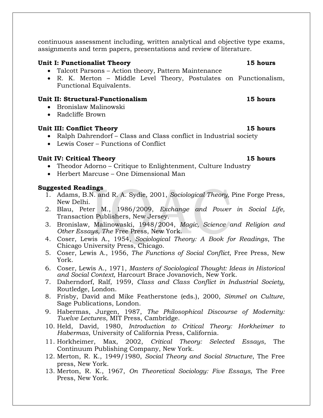continuous assessment including, written analytical and objective type exams, assignments and term papers, presentations and review of literature.

### **Unit I: Functionalist Theory 15 hours**

- Talcott Parsons Action theory, Pattern Maintenance
- R. K. Merton Middle Level Theory, Postulates on Functionalism, Functional Equivalents.

### **Unit II: Structural-Functionalism 15 hours**

- Bronislaw Malinowski
- Radcliffe Brown

### **Unit III: Conflict Theory 15 hours**

- Ralph Dahrendorf Class and Class conflict in Industrial society
- Lewis Coser Functions of Conflict

### **Unit IV: Critical Theory 15 hours**

- Theodor Adorno Critique to Enlightenment, Culture Industry
- Herbert Marcuse One Dimensional Man

- 1. Adams, B.N. and R. A. Sydie, 2001, *Sociological Theory,* Pine Forge Press, New Delhi.
- 2. Blau, Peter M., 1986/2009, *Exchange and Power in Social Life,* Transaction Publishers, New Jersey.
- 3. Bronislaw, Malinowaski, 1948/2004, *Magic, Science and Religion and Other Essays, The* Free Press, New York.
- 4. Coser, Lewis A., 1954, *Sociological Theory: A Book for Readings*, The Chicago University Press, Chicago.
- 5. Coser, Lewis A., 1956, *The Functions of Social Conflict*, Free Press, New York.
- 6. Coser, Lewis A., 1971, *Masters of Sociological Thought: Ideas in Historical and Social Context,* Harcourt Brace Jovanovich, New York.
- 7. Daherndorf, Ralf, 1959, *Class and Class Conflict in Industrial Society,* Routledge, London.
- 8. Frisby, David and Mike Featherstone (eds.), 2000, *Simmel on Culture*, Sage Publications, London.
- 9. Habermas, Jurgen, 1987, *The Philosophical Discourse of Modernity: Twelve Lectures*, MIT Press, Cambridge.
- 10. Held, David, 1980, *Introduction to Critical Theory: Horkheimer to Habermas*, University of California Press, California.
- 11. Horkheimer, Max, 2002, *Critical Theory: Selected Essays*, The Continuum Publishing Company, New York.
- 12. Merton, R. K., 1949/1980, *Social Theory and Social Structure*, The Free press, New York.
- 13. Merton, R. K., 1967, *On Theoretical Sociology: Five Essays,* The Free Press, New York.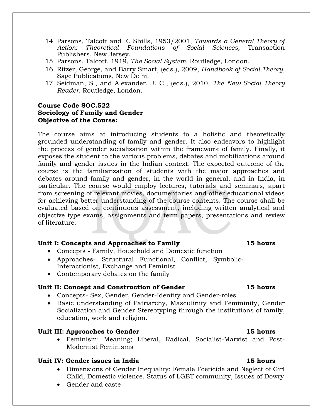- 14. Parsons, Talcott and E. Shills, 1953/2001, *Towards a General Theory of Action: Theoretical Foundations of Social Sciences,* Transaction Publishers, New Jersey.
- 15. Parsons, Talcott, 1919, *The Social System,* Routledge, London.
- 16. Ritzer, George, and Barry Smart, (eds.), 2009, *Handbook of Social Theory,* Sage Publications, New Delhi.
- 17. Seidman, S., and Alexander, J. C., (eds.), 2010, *The New Social Theory Reader,* Routledge, London.

### **Course Code SOC.522 Sociology of Family and Gender Objective of the Course:**

The course aims at introducing students to a holistic and theoretically grounded understanding of family and gender. It also endeavors to highlight the process of gender socialization within the framework of family. Finally, it exposes the student to the various problems, debates and mobilizations around family and gender issues in the Indian context. The expected outcome of the course is the familiarization of students with the major approaches and debates around family and gender, in the world in general, and in India, in particular. The course would employ lectures, tutorials and seminars, apart from screening of relevant movies, documentaries and other educational videos for achieving better understanding of the course contents. The course shall be evaluated based on continuous assessment, including written analytical and objective type exams, assignments and term papers, presentations and review of literature.

### **Unit I: Concepts and Approaches to Family 15 hours**

- Concepts Family, Household and Domestic function
- Approaches- Structural Functional, Conflict, Symbolic-Interactionist, Exchange and Feminist
- Contemporary debates on the family

### **Unit II: Concept and Construction of Gender 15 hours**

- Concepts- Sex, Gender, Gender-Identity and Gender-roles
- Basic understanding of Patriarchy, Masculinity and Femininity, Gender Socialization and Gender Stereotyping through the institutions of family, education, work and religion.

### **Unit III: Approaches to Gender 15 hours**

 Feminism: Meaning; Liberal, Radical, Socialist-Marxist and Post-Modernist Feminisms

### **Unit IV: Gender issues in India 15 hours**

- Dimensions of Gender Inequality: Female Foeticide and Neglect of Girl Child, Domestic violence, Status of LGBT community, Issues of Dowry
- Gender and caste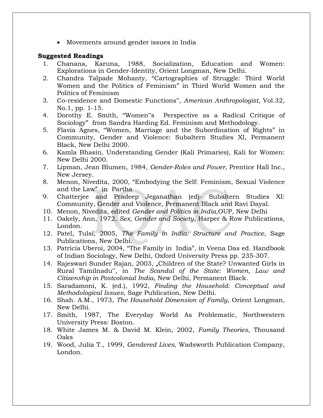• Movements around gender issues in India

- 1. Chanana, Karuna, 1988, Socialization, Education and Women: Explorations in Gender-Identity, Orient Longman, New Delhi.
- 2. Chandra Talpade Mohanty, "Cartographies of Struggle: Third World Women and the Politics of Feminism" in Third World Women and the Politics of Feminism
- 3. Co-residence and Domestic Functions", *American Anthropologist*, Vol.32, No.1, pp. 1-15.
- 4. Dorothy E. Smith, "Women"s Perspective as a Radical Critique of Sociology" from Sandra Harding Ed. Feminism and Methodology.
- 5. Flavia Agnes, "Women, Marriage and the Subordination of Rights" in Community, Gender and Violence: Subaltern Studies XI, Permanent Black, New Delhi 2000.
- 6. Kamla Bhasin, Understanding Gender (Kali Primaries), Kali for Women: New Delhi 2000.
- 7. Lipman, Jean Blumen, 1984, *Gender-Roles and Power*, Prentice Hall Inc., New Jersey.
- 8. Menon, Nivedita, 2000, "Embodying the Self: Feminism, Sexual Violence and the Law" in Partha
- 9. Chatterjee and Pradeep Jeganathan (ed)- Subaltern Studies XI: Community, Gender and Violence, Permanent Black and Ravi Dayal.
- 10. Menon, Nivedita, edited *Gender and Politics in India*,OUP, New Delhi
- 11. Oakely, Ann, 1972, *Sex, Gender and Society*, Harper & Row Publications, London.
- 12. Patel, Tulsi, 2005, *The Family in India: Structure and Practice*, Sage Publications, New Delhi.
- 13. Patricia Uberoi, 2004, "The Family in India", in Veena Das ed. Handbook of Indian Sociology, New Delhi, Oxford University Press pp. 235-307.
- 14. Rajeswari Sunder Rajan, 2003, "Children of the State? Unwanted Girls in Rural Tamilnadu", in *The Scandal of the State: Women, Law and Citizenship in Postcolonial India*, New Delhi, Permanent Black.
- 15. Saradamoni, K. (ed.), 1992, *Finding the Household: Conceptual and Methodological Issues*, Sage Publication, New Delhi.
- 16. Shah. A.M., 1973, *The Household Dimension of Family*, Orient Longman, New Delhi.
- 17. Smith, 1987, The Everyday World As Problematic, Northwestern University Press: Boston.
- 18. White James M. & David M. Klein, 2002, *Family Theories*, Thousand Oaks
- 19. Wood, Julia T., 1999, *Gendered Lives*, Wadsworth Publication Company, London.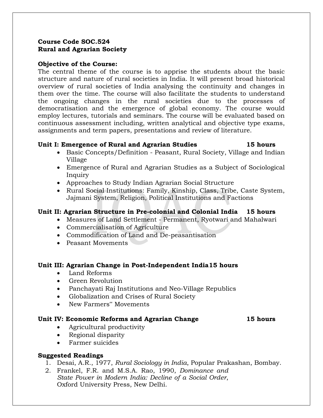## **Course Code SOC.524 Rural and Agrarian Society**

### **Objective of the Course:**

The central theme of the course is to apprise the students about the basic structure and nature of rural societies in India. It will present broad historical overview of rural societies of India analysing the continuity and changes in them over the time. The course will also facilitate the students to understand the ongoing changes in the rural societies due to the processes of democratisation and the emergence of global economy. The course would employ lectures, tutorials and seminars. The course will be evaluated based on continuous assessment including, written analytical and objective type exams, assignments and term papers, presentations and review of literature.

### **Unit I: Emergence of Rural and Agrarian Studies 15 hours**

- Basic Concepts/Definition Peasant, Rural Society, Village and Indian Village
- Emergence of Rural and Agrarian Studies as a Subject of Sociological Inquiry
- Approaches to Study Indian Agrarian Social Structure
- Rural Social Institutions: Family, Kinship, Class, Tribe, Caste System, Jajmani System, Religion, Political Institutions and Factions

# **Unit II: Agrarian Structure in Pre-colonial and Colonial India 15 hours**

- Measures of Land Settlement Permanent, Ryotwari and Mahalwari
- Commercialisation of Agriculture
- Commodification of Land and De-peasantisation
- Peasant Movements

### **Unit III: Agrarian Change in Post-Independent India15 hours**

- Land Reforms
- Green Revolution
- Panchayati Raj Institutions and Neo-Village Republics
- Globalization and Crises of Rural Society
- New Farmers" Movements

### **Unit IV: Economic Reforms and Agrarian Change 15 hours**

- Agricultural productivity
- Regional disparity
- Farmer suicides

- 1. Desai, A.R., 1977, *Rural Sociology in India*, Popular Prakashan, Bombay.
- 2. Frankel, F.R. and M.S.A. Rao, 1990, *Dominance and State Power in Modern India: Decline of a Social Order*, Oxford University Press, New Delhi.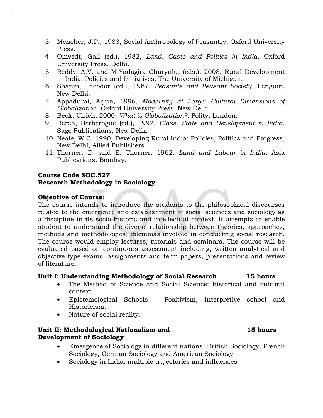- 3. Mencher, J.P., 1983, Social Anthropology of Peasantry, Oxford University Press.
- 4. Omvedt, Gail (ed.), 1982, *Land, Caste and Politics in India*, Oxford University Press, Delhi.
- 5. Reddy, A.V. and M.Yadagira Charyulu, (eds.), 2008, Rural Development in India: Policies and Initiatives, The University of Michigan.
- 6. Shanin, Theodor (ed.), 1987, *Peasants and Peasant Society*, Penguin, New Delhi.
- 7. Appadurai, Arjun, 1996, *Modernity at Large: Cultural Dimensions of Globalization*, Oxford University Press, New Delhi.
- 8. Beck, Ulrich, 2000, *What is Globalization?*, Polity, London.
- 9. Berch, Berberogue (ed.), 1992, *Class, State and Development in India*, Sage Publications, New Delhi.
- 10. Neale, W.C. 1990, Developing Rural India: Policies, Politics and Progress, New Delhi, Allied Publishers.
- 11. Thorner, D. and E. Thorner, 1962, *Land and Labour in India*, Asia Publications, Bombay.

### **Course Code SOC.527 Research Methodology in Sociology**

### **Objective of Course:**

The course intends to introduce the students to the philosophical discourses related to the emergence and establishment of social sciences and sociology as a discipline in its socio-historic and intellectual context. It attempts to enable student to understand the diverse relationship between theories, approaches, methods and methodological dilemmas involved in conducting social research. The course would employ lectures, tutorials and seminars. The course will be evaluated based on continuous assessment including, written analytical and objective type exams, assignments and term papers, presentations and review of literature.

### **Unit I: Understanding Methodology of Social Research 15 hours**

- The Method of Science and Social Science; historical and cultural context.
- Epistemological Schools Positivism, Interpretive school and Historicism.
- Nature of social reality.

### **Unit II: Methodological Nationalism and 15 hours Development of Sociology**

- Emergence of Sociology in different nations: British Sociology, French Sociology, German Sociology and American Sociology
- Sociology in India: multiple trajectories and influences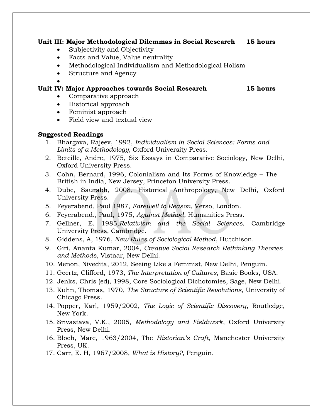### **Unit III: Major Methodological Dilemmas in Social Research 15 hours**

- Subjectivity and Objectivity
- Facts and Value, Value neutrality
- Methodological Individualism and Methodological Holism
- Structure and Agency

 $\bullet$ 

# **Unit IV: Major Approaches towards Social Research 15 hours**

- Comparative approach
- Historical approach
- Feminist approach
- Field view and textual view

- 1. Bhargava, Rajeev, 1992, *Individualism in Social Sciences: Forms and Limits of a Methodology,* Oxford University Press.
- 2. Beteille, Andre, 1975, Six Essays in Comparative Sociology, New Delhi, Oxford University Press.
- 3. Cohn, Bernard, 1996, Colonialism and Its Forms of Knowledge The British in India, New Jersey, Princeton University Press.
- 4. Dube, Saurabh, 2008, Historical Anthropology, New Delhi, Oxford University Press.
- 5. Feyerabend, Paul 1987, *Farewell to Reason*, Verso, London.
- 6. Feyerabend., Paul, 1975, *Against Method*, Humanities Press.
- 7. Gellner, E. 1985,*Relativism and the Social Sciences,* Cambridge University Press, Cambridge.
- 8. Giddens, A, 1976, *New Rules of Sociological Method*, Hutchison.
- 9. Giri, Ananta Kumar, 2004, *Creative Social Research Rethinking Theories and Methods*, Vistaar, New Delhi.
- 10. Menon, Nivedita, 2012, Seeing Like a Feminist, New Delhi, Penguin.
- 11. Geertz, Clifford, 1973, *The Interpretation of Cultures*, Basic Books, USA.
- 12. Jenks, Chris (ed), 1998, Core Sociological Dichotomies, Sage, New Delhi.
- 13. Kuhn, Thomas, 1970, *The Structure of Scientific Revolutions*, University of Chicago Press.
- 14. Popper, Karl, 1959/2002, *The Logic of Scientific Discovery*, Routledge, New York.
- 15. Srivastava, V.K., 2005, *Methodology and Fieldwork*, Oxford University Press, New Delhi.
- 16. Bloch, Marc, 1963/2004, The *Historian's Craft*, Manchester University Press, UK.
- 17. Carr, E. H, 1967/2008, *What is History?*, Penguin.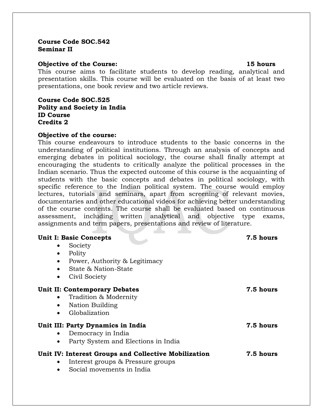### **Course Code SOC.542 Seminar II**

### **Objective of the Course: 15 hours**

This course aims to facilitate students to develop reading, analytical and presentation skills. This course will be evaluated on the basis of at least two presentations, one book review and two article reviews.

### **Course Code SOC.525 Polity and Society in India ID Course Credits 2**

### **Objective of the course:**

This course endeavours to introduce students to the basic concerns in the understanding of political institutions. Through an analysis of concepts and emerging debates in political sociology, the course shall finally attempt at encouraging the students to critically analyze the political processes in the Indian scenario. Thus the expected outcome of this course is the acquainting of students with the basic concepts and debates in political sociology, with specific reference to the Indian political system. The course would employ lectures, tutorials and seminars, apart from screening of relevant movies, documentaries and other educational videos for achieving better understanding of the course contents. The course shall be evaluated based on continuous assessment, including written analytical and objective type exams, assignments and term papers, presentations and review of literature.

| <b>Unit I: Basic Concepts</b><br>Society<br>$\bullet$<br>Polity<br>$\bullet$<br>Power, Authority & Legitimacy<br>$\bullet$<br>State & Nation-State<br>Civil Society<br>$\bullet$ | 7.5 hours |
|----------------------------------------------------------------------------------------------------------------------------------------------------------------------------------|-----------|
| <b>Unit II: Contemporary Debates</b><br>Tradition & Modernity<br>Nation Building<br>$\bullet$<br>Globalization                                                                   | 7.5 hours |
| Unit III: Party Dynamics in India<br>Democracy in India<br>$\bullet$<br>Party System and Elections in India<br>$\bullet$                                                         | 7.5 hours |
| Unit IV: Interest Groups and Collective Mobilization<br>Interest groups & Pressure groups<br>Social movements in India<br>$\bullet$                                              | 7.5 hours |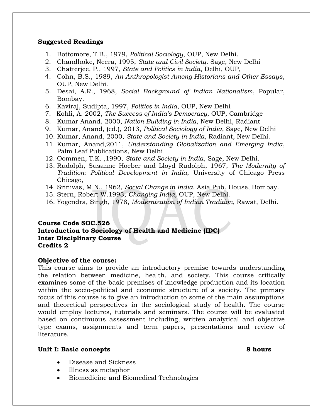### **Suggested Readings**

- 1. Bottomore, T.B., 1979, *Political Sociology*, OUP, New Delhi.
- 2. Chandhoke, Neera, 1995, *State and Civil Society*. Sage, New Delhi
- 3. Chatterjee, P., 1997, *State and Politics in India*, Delhi, OUP,
- 4. Cohn, B.S., 1989, *An Anthropologist Among Historians and Other Essays*, OUP, New Delhi.
- 5. Desai, A.R., 1968, *Social Background of Indian Nationalism*, Popular, Bombay.
- 6. Kaviraj, Sudipta, 1997, *Politics in India*, OUP, New Delhi
- 7. Kohli, A. 2002, *The Success of India's Democracy*, OUP, Cambridge
- 8. Kumar Anand, 2000, *Nation Building in India*, New Delhi, Radiant
- 9. Kumar, Anand, (ed.), 2013, *Political Sociology of India*, Sage, New Delhi
- 10. Kumar, Anand, 2000, *State and Society in India*, Radiant, New Delhi.
- 11. Kumar, Anand,2011, *Understanding Globalization and Emerging India*, Palm Leaf Publications, New Delhi
- 12. Oommen, T.K. ,1990, *State and Society in India*, Sage, New Delhi.
- 13. Rudolph, Susanne Hoeber and Lloyd Rudolph, 1967, *The Modernity of Tradition: Political Development in India*, University of Chicago Press Chicago,
- 14. Srinivas, M.N., 1962, *Social Change in India*, Asia Pub. House, Bombay.
- 15. Stern, Robert W.1993, *Changing India*, OUP, New Delhi.
- 16. Yogendra, Singh, 1978, *Modernization of Indian Tradition*, Rawat, Delhi.

# **Course Code SOC.526 Introduction to Sociology of Health and Medicine (IDC) Inter Disciplinary Course Credits 2**

### **Objective of the course:**

This course aims to provide an introductory premise towards understanding the relation between medicine, health, and society. This course critically examines some of the basic premises of knowledge production and its location within the socio-political and economic structure of a society. The primary focus of this course is to give an introduction to some of the main assumptions and theoretical perspectives in the sociological study of health. The course would employ lectures, tutorials and seminars. The course will be evaluated based on continuous assessment including, written analytical and objective type exams, assignments and term papers, presentations and review of literature.

### **Unit I: Basic concepts 8 hours**

- Disease and Sickness
- Illness as metaphor
- Biomedicine and Biomedical Technologies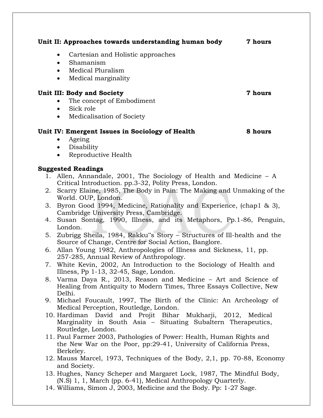| Unit II: Approaches towards understanding human body | 7 hours |
|------------------------------------------------------|---------|
| Cartesian and Holistic approaches<br>$\bullet$       |         |
| Shamanism<br>$\bullet$                               |         |
| Medical Pluralism<br>$\bullet$                       |         |
| Medical marginality<br>$\bullet$                     |         |
| <b>Unit III: Body and Society</b>                    | 7 hours |
| The concept of Embodiment<br>$\bullet$               |         |
| Sick role<br>$\bullet$                               |         |
| Medicalisation of Society<br>$\bullet$               |         |
| Unit IV: Emergent Issues in Sociology of Health      | 8 hours |
| Ageing<br>$\bullet$                                  |         |
| Disability<br>$\bullet$                              |         |

Reproductive Health

- 1. Allen, Annandale, 2001, The Sociology of Health and Medicine A Critical Introduction. pp.3-32, Polity Press, London.
- 2. Scarry Elaine, 1985, The Body in Pain: The Making and Unmaking of the World. OUP, London.
- 3. Byron Good 1994, Medicine, Rationality and Experience, (chap1 & 3), Cambridge University Press, Cambridge.
- 4. Susan Sontag, 1990, Illness, and its Metaphors, Pp.1-86, Penguin, London.
- 5. Zubrigg Sheila, 1984, Rakku"s Story Structures of Ill-health and the Source of Change, Centre for Social Action, Banglore.
- 6. Allan Young 1982, Anthropologies of Illness and Sickness, 11, pp. 257-285, Annual Review of Anthropology.
- 7. White Kevin, 2002, An Introduction to the Sociology of Health and Illness, Pp 1-13, 32-45, Sage, London.
- 8. Varma Daya R., 2013, Reason and Medicine Art and Science of Healing from Antiquity to Modern Times, Three Essays Collective, New Delhi.
- 9. Michael Foucault, 1997, The Birth of the Clinic: An Archeology of Medical Perception, Routledge, London.
- 10. Hardiman David and Projit Bihar Mukharji, 2012, Medical Marginality in South Asia – Situating Subaltern Therapeutics, Routledge, London.
- 11. Paul Farmer 2003, Pathologies of Power: Health, Human Rights and the New War on the Poor, pp:29-41, University of California Press, Berkeley.
- 12. Mauss Marcel, 1973, Techniques of the Body, 2,1, pp. 70-88, Economy and Society.
- 13. Hughes, Nancy Scheper and Margaret Lock, 1987, The Mindful Body, (N.S) 1, 1, March (pp. 6-41), Medical Anthropology Quarterly.
- 14. Williams, Simon J, 2003, Medicine and the Body. Pp: 1-27 Sage.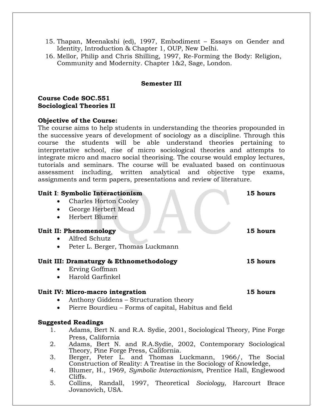- 15. Thapan, Meenakshi (ed), 1997, Embodiment Essays on Gender and Identity, Introduction & Chapter 1, OUP, New Delhi.
- 16. Mellor, Philip and Chris Shilling, 1997, Re-Forming the Body: Religion, Community and Modernity. Chapter 1&2, Sage, London.

### **Semester III**

**Course Code SOC.551 Sociological Theories II**

### **Objective of the Course:**

The course aims to help students in understanding the theories propounded in the successive years of development of sociology as a discipline. Through this course the students will be able understand theories pertaining to interpretative school, rise of micro sociological theories and attempts to integrate micro and macro social theorising. The course would employ lectures, tutorials and seminars. The course will be evaluated based on continuous assessment including, written analytical and objective type exams, assignments and term papers, presentations and review of literature.

### **Unit I**: **Symbolic Interactionism 15 hours**

- Charles Horton Cooley
- George Herbert Mead
- Herbert Blumer

### **Unit II: Phenomenology 15 hours**

- Alfred Schutz
- Peter L. Berger, Thomas Luckmann

### **Unit III: Dramaturgy & Ethnomethodology 15 hours**

- Erving Goffman
- Harold Garfinkel

### **Unit IV: Micro-macro integration 15 hours**

- Anthony Giddens Structuration theory
- Pierre Bourdieu Forms of capital, Habitus and field

- 1. Adams, Bert N. and R.A. Sydie, 2001, Sociological Theory, Pine Forge Press, California
- 2. Adams, Bert N. and R.A.Sydie, 2002, Contemporary Sociological Theory, Pine Forge Press, California.
- 3. Berger, Peter L. and Thomas Luckmann, 1966/, The Social Construction of Reality: A Treatise in the Sociology of Knowledge,
- 4. Blumer, H., 1969, *Symbolic Interactionism*, Prentice Hall, Englewood Cliffs.
- 5. Collins, Randall, 1997, Theoretical *Sociology*, Harcourt Brace Jovanovich, USA.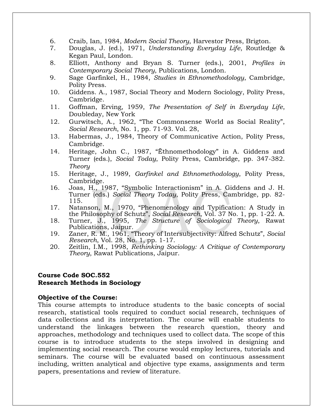- 6. Craib, Ian, 1984, *Modern Social Theory*, Harvestor Press, Brigton.
- 7. Douglas, J. (ed.), 1971, *Understanding Everyday Life*, Routledge & Kegan Paul, London.
- 8. Elliott, Anthony and Bryan S. Turner (eds.), 2001, *Profiles in Contemporary Social Theory*, Publications, London.
- 9. Sage Garfinkel, H., 1984, *Studies in Ethnomethodology*, Cambridge, Polity Press.
- 10. Giddens. A., 1987, Social Theory and Modern Sociology, Polity Press, Cambridge.
- 11. Goffman, Erving, 1959, *The Presentation of Self in Everyday Life*, Doubleday, New York
- 12. Gurwitsch, A., 1962, "The Commonsense World as Social Reality", *Social Research*, No. 1, pp. 71-93. Vol. 28,
- 13. Habermas, J., 1984, Theory of Communicative Action, Polity Press, Cambridge.
- 14. Heritage, John C., 1987, "Ëthnomethodology" in A. Giddens and Turner (eds.), *Social Today*, Polity Press, Cambridge, pp. 347-382. *Theory*
- 15. Heritage, J., 1989, *Garfinkel and Ethnomethodology*, Polity Press, Cambridge.
- 16. Joas, H., 1987, "Symbolic Interactionism" in A. Giddens and J. H. Turner (eds.) *Social Theory Today*, Polity Press, Cambridge, pp. 82- 115.
- 17. Natanson, M., 1970, "Phenomenology and Typification: A Study in the Philosophy of Schutz", *Social Research*, Vol. 37 No. 1, pp. 1-22. A.
- 18. Turner, J., 1995, *The Structure of Sociological Theory*, Rawat Publications, Jaipur.
- 19. Zaner, R. M., 1961, "Theory of Intersubjectivity: Alfred Schutz", *Social Research*, Vol. 28, No. 1, pp. 1-17.
- 20. Zeitlin, I.M., 1998, *Rethinking Sociology: A Critique of Contemporary Theory*, Rawat Publications, Jaipur.

### **Course Code SOC.552 Research Methods in Sociology**

### **Objective of the Course:**

This course attempts to introduce students to the basic concepts of social research, statistical tools required to conduct social research, techniques of data collections and its interpretation. The course will enable students to understand the linkages between the research question, theory and approaches, methodology and techniques used to collect data. The scope of this course is to introduce students to the steps involved in designing and implementing social research. The course would employ lectures, tutorials and seminars. The course will be evaluated based on continuous assessment including, written analytical and objective type exams, assignments and term papers, presentations and review of literature.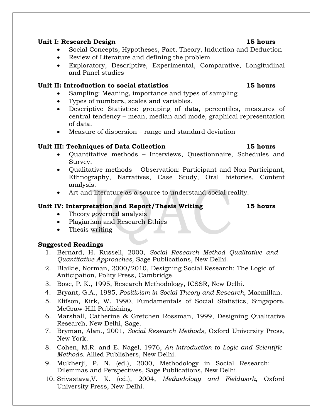### **Unit I: Research Design 15 hours**

- Social Concepts, Hypotheses, Fact, Theory, Induction and Deduction
- Review of Literature and defining the problem
- Exploratory, Descriptive, Experimental, Comparative, Longitudinal and Panel studies

# **Unit II: Introduction to social statistics 15 hours**

- Sampling: Meaning, importance and types of sampling
- Types of numbers, scales and variables.
- Descriptive Statistics: grouping of data, percentiles, measures of central tendency – mean, median and mode, graphical representation of data.
- Measure of dispersion range and standard deviation

# **Unit III: Techniques of Data Collection 15 hours**

- Quantitative methods Interviews, Questionnaire, Schedules and Survey.
- Qualitative methods Observation: Participant and Non-Participant, Ethnography, Narratives, Case Study, Oral histories, Content analysis.
- Art and literature as a source to understand social reality.

# **Unit IV: Interpretation and Report/Thesis Writing 15 hours**

Theory governed analysis

- Plagiarism and Research Ethics
- Thesis writing

- 1. Bernard, H. Russell, 2000, *Social Research Method Qualitative and Quantitative Approaches,* Sage Publications, New Delhi.
- 2. Blaikie, Norman, 2000/2010, Designing Social Research: The Logic of Anticipation, Polity Press, Cambridge.
- 3. Bose, P. K., 1995, Research Methodology, ICSSR, New Delhi.
- 4. Bryant, G.A., 1985, *Positivism in Social Theory and Research*, Macmillan.
- 5. Elifson, Kirk, W. 1990, Fundamentals of Social Statistics, Singapore, McGraw-Hill Publishing.
- 6. Marshall, Catherine & Gretchen Rossman, 1999, Designing Qualitative Research, New Delhi, Sage.
- 7. Bryman, Alan., 2001, *Social Research Methods,* Oxford University Press, New York.
- 8. Cohen, M.R. and E. Nagel, 1976, *An Introduction to Logic and Scientific Methods.* Allied Publishers, New Delhi.
- 9. Mukherji, P. N. (ed.), 2000, Methodology in Social Research: Dilemmas and Perspectives, Sage Publications, New Delhi.
- 10. Srivastava,V. K. (ed.), 2004, *Methodology and Fieldwork*, Oxford University Press, New Delhi.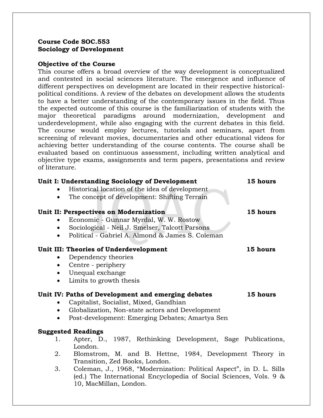### **Course Code SOC.553 Sociology of Development**

### **Objective of the Course**

This course offers a broad overview of the way development is conceptualized and contested in social sciences literature. The emergence and influence of different perspectives on development are located in their respective historicalpolitical conditions. A review of the debates on development allows the students to have a better understanding of the contemporary issues in the field. Thus the expected outcome of this course is the familiarization of students with the major theoretical paradigms around modernization, development and underdevelopment, while also engaging with the current debates in this field. The course would employ lectures, tutorials and seminars, apart from screening of relevant movies, documentaries and other educational videos for achieving better understanding of the course contents. The course shall be evaluated based on continuous assessment, including written analytical and objective type exams, assignments and term papers, presentations and review of literature.

| Unit I: Understanding Sociology of Development                             | 15 hours |
|----------------------------------------------------------------------------|----------|
| Historical location of the idea of development                             |          |
| The concept of development: Shifting Terrain                               |          |
| Unit II: Perspectives on Modernization                                     | 15 hours |
| Economic - Gunnar Myrdal, W. W. Rostow                                     |          |
| Sociological - Neil J. Smelser, Talcott Parsons                            |          |
| Political - Gabriel A. Almond & James S. Coleman                           |          |
| Unit III: Theories of Underdevelopment                                     | 15 hours |
| Dependency theories                                                        |          |
| Centre - periphery<br>$\bullet$                                            |          |
| Unequal exchange<br>$\bullet$                                              |          |
| Limits to growth thesis<br>$\bullet$                                       |          |
| Unit IV: Paths of Development and emerging debates                         | 15 hours |
| Capitalist, Socialist, Mixed, Gandhian                                     |          |
| Globalization, Non-state actors and Development                            |          |
| Post-development: Emerging Debates; Amartya Sen<br>$\bullet$               |          |
| <b>Suggested Readings</b>                                                  |          |
| Apter, D., 1987, Rethinking Development, Sage Publications,<br>1.          |          |
| London.                                                                    |          |
| 2.<br>Blomstrom, M. and B. Hettne, 1984, Development Theory in             |          |
| Transition, Zed Books, London.                                             |          |
| 3.<br>Coleman, J., 1968, "Modernization: Political Aspect", in D. L. Sills |          |
| (ed.) The International Encyclopedia of Social Sciences, Vols. 9 &         |          |
| 10. MacMillan. London.                                                     |          |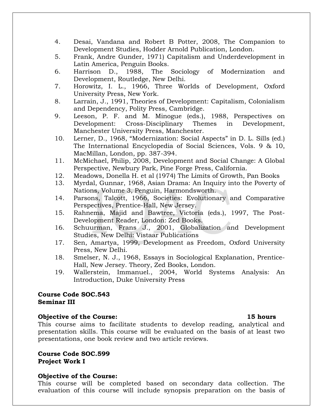- 4. Desai, Vandana and Robert B Potter, 2008, The Companion to Development Studies, Hodder Arnold Publication, London.
- 5. Frank, Andre Gunder, 1971) Capitalism and Underdevelopment in Latin America, Penguin Books.
- 6. Harrison D., 1988, The Sociology of Modernization and Development, Routledge, New Delhi.
- 7. Horowitz, I. L., 1966, Three Worlds of Development, Oxford University Press, New York.
- 8. Larrain, J., 1991, Theories of Development: Capitalism, Colonialism and Dependency, Polity Press, Cambridge.
- 9. Leeson, P. F. and M. Minogue (eds.), 1988, Perspectives on Development: Cross-Disciplinary Themes in Development, Manchester University Press, Manchester.
- 10. Lerner, D., 1968, "Modernization: Social Aspects" in D. L. Sills (ed.) The International Encyclopedia of Social Sciences, Vols. 9 & 10, MacMillan, London, pp. 387-394.
- 11. McMichael, Philip, 2008, Development and Social Change: A Global Perspective, Newbury Park, Pine Forge Press, California.
- 12. Meadows, Donella H. et al (1974) The Limits of Growth, Pan Books
- 13. Myrdal, Gunnar, 1968, Asian Drama: An Inquiry into the Poverty of Nations, Volume 3, Penguin, Harmondsworth.
- 14. Parsons, Talcott, 1966, Societies: Evolutionary and Comparative Perspectives, Prentice-Hall, New Jersey.
- 15. Rahnema, Majid and Bawtree, Victoria (eds.), 1997, The Post-Development Reader, London: Zed Books.
- 16. Schuurman, Frans J., 2001, Globalization and Development Studies, New Delhi: Vistaar Publications
- 17. Sen, Amartya, 1999, Development as Freedom, Oxford University Press, New Delhi.
- 18. Smelser, N. J., 1968, Essays in Sociological Explanation, Prentice-Hall, New Jersey. Theory, Zed Books, London.
- 19. Wallerstein, Immanuel., 2004, World Systems Analysis: An Introduction, Duke University Press

### **Course Code SOC.543 Seminar III**

### **Objective of the Course: 15 hours**

This course aims to facilitate students to develop reading, analytical and presentation skills. This course will be evaluated on the basis of at least two presentations, one book review and two article reviews.

### **Course Code SOC.599 Project Work I**

### **Objective of the Course:**

This course will be completed based on secondary data collection. The evaluation of this course will include synopsis preparation on the basis of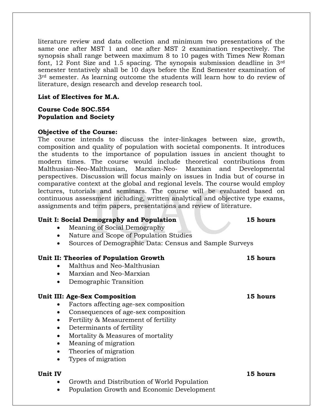literature review and data collection and minimum two presentations of the same one after MST 1 and one after MST 2 examination respectively. The synopsis shall range between maximum 8 to 10 pages with Times New Roman font, 12 Font Size and 1.5 spacing. The synopsis submission deadline in 3rd semester tentatively shall be 10 days before the End Semester examination of 3rd semester. As learning outcome the students will learn how to do review of literature, design research and develop research tool.

### **List of Electives for M.A.**

# **Course Code SOC.554 Population and Society**

### **Objective of the Course:**

The course intends to discuss the inter-linkages between size, growth, composition and quality of population with societal components. It introduces the students to the importance of population issues in ancient thought to modern times. The course would include theoretical contributions from Malthusian-Neo-Malthusian, Marxian-Neo- Marxian and Developmental perspectives. Discussion will focus mainly on issues in India but of course in comparative context at the global and regional levels. The course would employ lectures, tutorials and seminars. The course will be evaluated based on continuous assessment including, written analytical and objective type exams, assignments and term papers, presentations and review of literature.

### **Unit I: Social Demography and Population 15 hours**

- Meaning of Social Demography
- Nature and Scope of Population Studies
- Sources of Demographic Data: Census and Sample Surveys

### **Unit II: Theories of Population Growth 15 hours**

- Malthus and Neo-Malthusian
- Marxian and Neo-Marxian
- Demographic Transition

### **Unit III: Age-Sex Composition 15 hours**

- Factors affecting age-sex composition
- Consequences of age-sex composition
- Fertility & Measurement of fertility
- Determinants of fertility
- Mortality & Measures of mortality
- Meaning of migration
- Theories of migration
- Types of migration

- Growth and Distribution of World Population
- Population Growth and Economic Development

**Unit IV 15 hours**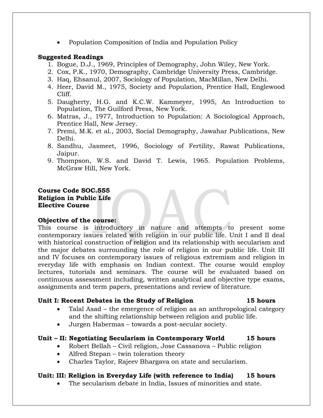Population Composition of India and Population Policy

### **Suggested Readings**

- 1. Bogue, D.J., 1969, Principles of Demography, John Wiley, New York.
- 2. Cox, P.K., 1970, Demography, Cambridge University Press, Cambridge.
- 3. Haq, Ehsanul, 2007, Sociology of Population, MacMillan, New Delhi.
- 4. Heer, David M., 1975, Society and Population, Prentice Hall, Englewood Cliff.
- 5. Daugherty, H.G. and K.C.W. Kammeyer, 1995, An Introduction to Population, The Guilford Press, New York.
- 6. Matras, J., 1977, Introduction to Population: A Sociological Approach, Prentice Hall, New Jersey.
- 7. Premi, M.K. et al., 2003, Social Demography, Jawahar Publications, New Delhi.
- 8. Sandhu, Jasmeet, 1996, Sociology of Fertility, Rawat Publications, Jaipur.
- 9. Thompson, W.S. and David T. Lewis, 1965. Population Problems, McGraw Hill, New York.

### **Course Code SOC.555 Religion in Public Life Elective Course**

### **Objective of the course:**

This course is introductory in nature and attempts to present some contemporary issues related with religion in our public life. Unit I and II deal with historical construction of religion and its relationship with secularism and the major debates surrounding the role of religion in our public life. Unit III and IV focuses on contemporary issues of religious extremism and religion in everyday life with emphasis on Indian context. The course would employ lectures, tutorials and seminars. The course will be evaluated based on continuous assessment including, written analytical and objective type exams, assignments and term papers, presentations and review of literature.

### **Unit I: Recent Debates in the Study of Religion 15 hours**

- Talal Asad the emergence of religion as an anthropological category and the shifting relationship between religion and public life.
- Jurgen Habermas towards a post-secular society.

### **Unit – II: Negotiating Secularism in Contemporary World 15 hours**

- Robert Bellah Civil religion, Jose Cassanova Public religion
- Alfred Stepan twin toleration theory
- Charles Taylor, Rajeev Bhargava on state and secularism.

# **Unit: III: Religion in Everyday Life (with reference to India) 15 hours**

The secularism debate in India, Issues of minorities and state.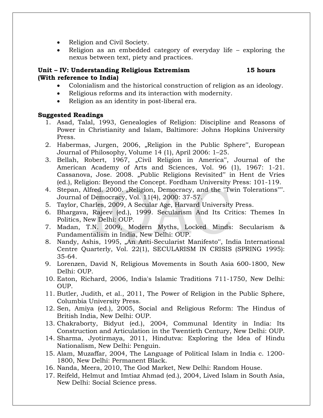- Religion and Civil Society.
- Religion as an embedded category of everyday life exploring the nexus between text, piety and practices.

### **Unit – IV: Understanding Religious Extremism 15 hours (With reference to India)**

- Colonialism and the historical construction of religion as an ideology.
- Religious reforms and its interaction with modernity.
- Religion as an identity in post-liberal era.

- 1. Asad, Talal, 1993, Genealogies of Religion: Discipline and Reasons of Power in Christianity and Islam, Baltimore: Johns Hopkins University Press.
- 2. Habermas, Jurgen, 2006, "Religion in the Public Sphere", European Journal of Philosophy, Volume 14 (1), April 2006: 1–25.
- 3. Bellah, Robert, 1967, "Civil Religion in America", Journal of the American Academy of Arts and Sciences, Vol. 96 (1), 1967: 1-21. Cassanova, Jose. 2008. "Public Religions Revisited" in Hent de Vries (ed.), Religion: Beyond the Concept. Fordham University Press: 101-119.
- 4. Stepan, Alfred. 2000. "Religion, Democracy, and the "Twin Tolerations"". Journal of Democracy, Vol. 11(4), 2000: 37-57.
- 5. Taylor, Charles, 2009, A Secular Age, Harvard University Press.
- 6. Bhargava, Rajeev (ed.), 1999. Secularism And Its Critics: Themes In Politics, New Delhi: OUP.
- 7. Madan, T.N. 2009, Modern Myths, Locked Minds: Secularism & Fundamentalism in India, New Delhi: OUP.
- 8. Nandy, Ashis, 1995, "An Anti-Secularist Manifesto", India International Centre Quarterly, Vol. 22(1), SECULARISM IN CRISIS (SPRING 1995): 35-64.
- 9. Lorenzen, David N, Religious Movements in South Asia 600-1800, New Delhi: OUP.
- 10. Eaton, Richard, 2006, India's Islamic Traditions 711-1750, New Delhi: OUP.
- 11. Butler, Judith, et al., 2011, The Power of Religion in the Public Sphere, Columbia University Press.
- 12. Sen, Amiya (ed.), 2005, Social and Religious Reform: The Hindus of British India, New Delhi: OUP.
- 13. Chakraborty, Bidyut (ed.), 2004, Communal Identity in India: Its Construction and Articulation in the Twentieth Century, New Delhi: OUP.
- 14. Sharma, Jyotirmaya, 2011, Hindutva: Exploring the Idea of Hindu Nationalism, New Delhi: Penguin.
- 15. Alam, Muzaffar, 2004, The Language of Political Islam in India c. 1200- 1800, New Delhi: Permanent Black.
- 16. Nanda, Meera, 2010, The God Market, New Delhi: Random House.
- 17. Reifeld, Helmut and Imtiaz Ahmad (ed.), 2004, Lived Islam in South Asia, New Delhi: Social Science press.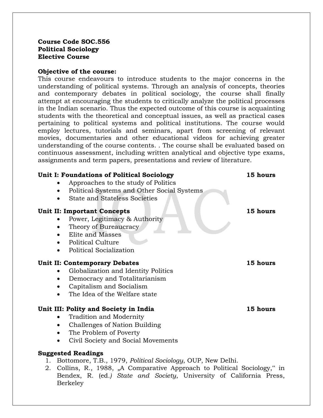### **Course Code SOC.556 Political Sociology Elective Course**

### **Objective of the course:**

This course endeavours to introduce students to the major concerns in the understanding of political systems. Through an analysis of concepts, theories and contemporary debates in political sociology, the course shall finally attempt at encouraging the students to critically analyze the political processes in the Indian scenario. Thus the expected outcome of this course is acquainting students with the theoretical and conceptual issues, as well as practical cases pertaining to political systems and political institutions. The course would employ lectures, tutorials and seminars, apart from screening of relevant movies, documentaries and other educational videos for achieving greater understanding of the course contents. . The course shall be evaluated based on continuous assessment, including written analytical and objective type exams, assignments and term papers, presentations and review of literature.

### **Unit I: Foundations of Political Sociology 15 hours**

- Approaches to the study of Politics
- Political Systems and Other Social Systems
- State and Stateless Societies

### **Unit II: Important Concepts 15 hours**

- Power, Legitimacy & Authority
- Theory of Bureaucracy
- Elite and Masses
- Political Culture
- Political Socialization

### **Unit II: Contemporary Debates 15 hours**

- Globalization and Identity Politics
- Democracy and Totalitarianism
- Capitalism and Socialism
- The Idea of the Welfare state

### **Unit III: Polity and Society in India 15 hours**

- Tradition and Modernity
- Challenges of Nation Building
- The Problem of Poverty
- Civil Society and Social Movements

- 1. Bottomore, T.B., 1979, *Political Sociology*, OUP, New Delhi.
- 2. Collins, R., 1988, "A Comparative Approach to Political Sociology," in Bendex, R. (ed*.) State and Society*, University of California Press, Berkeley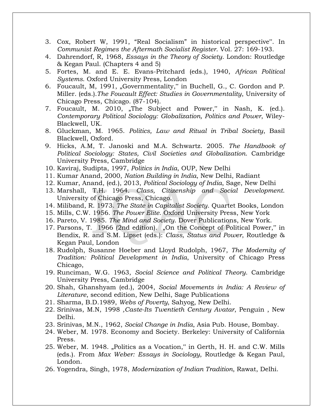- 3. Cox, Robert W, 1991, "Real Socialism" in historical perspective". In *Communist Regimes the Aftermath Socialist Register*. Vol. 27: 169-193.
- 4. Dahrendorf, R, 1968, *Essays in the Theory of Society*. London: Routledge & Kegan Paul. (Chapters 4 and 5)
- 5. Fortes, M. and E. E. Evans-Pritchard (eds.), 1940, *African Political Systems*. Oxford University Press, London
- 6. Foucault, M, 1991, "Governmentality," in Buchell, G., C. Gordon and P. Miller. (eds.).*The Foucault Effect: Studies in Governmentality*, University of Chicago Press, Chicago. (87-104).
- 7. Foucault, M. 2010, "The Subject and Power," in Nash, K. (ed.). *Contemporary Political Sociology: Globalization, Politics and Power*, Wiley-Blackwell, UK.
- 8. Gluckman, M. 1965. *Politics, Law and Ritual in Tribal Society*, Basil Blackwell, Oxford.
- 9. Hicks, A.M, T. Janoski and M.A. Schwartz. 2005. *The Handbook of Political Sociology: States, Civil Societies and Globalization*. Cambridge University Press, Cambridge
- 10. Kaviraj, Sudipta, 1997, *Politics in India*, OUP, New Delhi
- 11. Kumar Anand, 2000, *Nation Building in India*, New Delhi, Radiant
- 12. Kumar, Anand, (ed.), 2013, *Political Sociology of India*, Sage, New Delhi
- 13. Marshall, T.H. 1964. *Class, Citizenship and Social Development*. University of Chicago Press, Chicago.
- 14. Miliband, R. 1973. *The State in Capitalist Society*. Quartet Books, London
- 15. Mills, C.W. 1956. *The Power Elite*. Oxford University Press, New York
- 16. Pareto, V. 1985. *The Mind and Society*. Dover Publications, New York.
- 17. Parsons, T. 1966 (2nd edition). "On the Concept of Political Power," in Bendix, R. and S.M. Lipset (eds.): *Class, Status and Power*, Routledge & Kegan Paul, London
- 18. Rudolph, Susanne Hoeber and Lloyd Rudolph, 1967, *The Modernity of Tradition: Political Development in India*, University of Chicago Press Chicago,
- 19. Runciman, W.G. 1963, *Social Science and Political Theory*. Cambridge University Press, Cambridge
- 20. Shah, Ghanshyam (ed.), 2004, *Social Movements in India: A Review of Literature*, second edition, New Delhi, Sage Publications
- 21. Sharma, B.D.1989, *Webs of Poverty*, Sahyog, New Delhi.
- 22. Srinivas, M.N, 1998 *,Caste-Its Twentieth Century Avatar*, Penguin , New Delhi.
- 23. Srinivas, M.N., 1962, *Social Change in India*, Asia Pub. House, Bombay.
- 24. Weber, M. 1978. Economy and Society. Berkeley: University of California Press.
- 25. Weber, M. 1948. "Politics as a Vocation," in Gerth, H. H. and C.W. Mills (eds.). From *Max Weber: Essays in Sociology*, Routledge & Kegan Paul, London.
- 26. Yogendra, Singh, 1978, *Modernization of Indian Tradition*, Rawat, Delhi.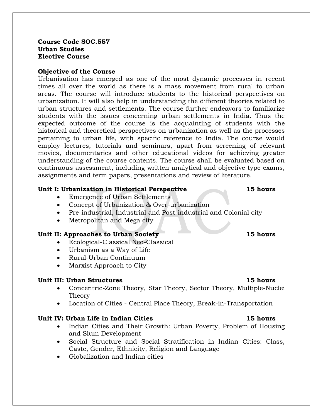### **Course Code SOC.557 Urban Studies Elective Course**

### **Objective of the Course**

Urbanisation has emerged as one of the most dynamic processes in recent times all over the world as there is a mass movement from rural to urban areas. The course will introduce students to the historical perspectives on urbanization. It will also help in understanding the different theories related to urban structures and settlements. The course further endeavors to familiarize students with the issues concerning urban settlements in India. Thus the expected outcome of the course is the acquainting of students with the historical and theoretical perspectives on urbanization as well as the processes pertaining to urban life, with specific reference to India. The course would employ lectures, tutorials and seminars, apart from screening of relevant movies, documentaries and other educational videos for achieving greater understanding of the course contents. The course shall be evaluated based on continuous assessment, including written analytical and objective type exams, assignments and term papers, presentations and review of literature.

### **Unit I: Urbanization in Historical Perspective 15 hours**

- Emergence of Urban Settlements
- Concept of Urbanization & Over-urbanization
- Pre-industrial, Industrial and Post-industrial and Colonial city
- Metropolitan and Mega city

### **Unit II: Approaches to Urban Society 15 hours**

- Ecological-Classical Neo-Classical
- Urbanism as a Way of Life
- Rural-Urban Continuum
- Marxist Approach to City

### **Unit III: Urban Structures 15 hours**

- Concentric-Zone Theory, Star Theory, Sector Theory, Multiple-Nuclei Theory
- Location of Cities Central Place Theory, Break-in-Transportation

### **Unit IV: Urban Life in Indian Cities 15 hours**

- Indian Cities and Their Growth: Urban Poverty, Problem of Housing and Slum Development
- Social Structure and Social Stratification in Indian Cities: Class, Caste, Gender, Ethnicity, Religion and Language
- Globalization and Indian cities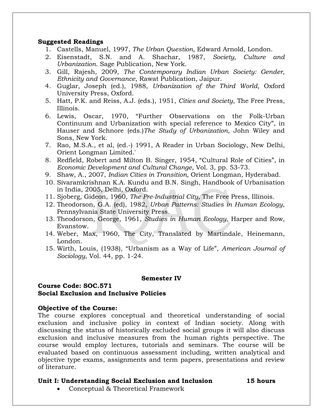### **Suggested Readings**

- 1. Castells, Manuel, 1997, *The Urban Question*, Edward Arnold, London.
- 2. Eisenstadt, S.N. and A. Shachar, 1987, *Society, Culture and Urbanization*. Sage Publication, New York.
- 3. Gill, Rajesh, 2009, *The Contemporary Indian Urban Society: Gender, Ethnicity and Governance*, Rawat Publication, Jaipur.
- 4. Guglar, Joseph (ed.), 1988, *Urbanization of the Third World*, Oxford University Press, Oxford.
- 5. Hatt, P.K. and Reiss, A.J. (eds.), 1951, *Cities and Society*, The Free Press, Illinois.
- 6. Lewis, Oscar, 1970, "Further Observations on the Folk-Urban Continuum and Urbanization with special reference to Mexico City", in Hauser and Schnore (eds.)*The Study of Urbanization*, John Wiley and Sons, New York.
- 7. Rao, M.S.A., et al, (ed.-) 1991, A Reader in Urban Sociology, New Delhi, Orient Longman Limited.'
- 8. Redfield, Robert and Milton B. Singer, 1954, "Cultural Role of Cities", in *Economic Development and Cultural Change*, Vol. 3, pp. 53-73.
- 9. Shaw, A., 2007, *Indian Cities in Transition,* Orient Longman, Hyderabad.
- 10. Sivaramkrishnan K.A. Kundu and B.N. Singh, Handbook of Urbanisation in India, 2005, Delhi, Oxford.
- 11. Sjoberg, Gideon, 1960, *The Pre-Industrial City*, The Free Press, Illinois.
- 12. Theodorson, G.A. (ed), 1982, *Urban Patterns: Studies in Human Ecology*, Pennsylvania State University Press.
- 13. Theodorson, George, 1961, *Studies in Human Ecology*, Harper and Row, Evanstow.
- 14. Weber, Max, 1960, The City, Translated by Martindale, Heinemann, London.
- 15. Wirth, Louis, (1938), "Urbanism as a Way of Life", *American Journal of Sociology*, Vol. 44, pp. 1-24.

### **Semester IV**

### **Course Code: SOC.571 Social Exclusion and Inclusive Policies**

### **Objective of the Course:**

The course explores conceptual and theoretical understanding of social exclusion and inclusive policy in context of Indian society. Along with discussing the status of historically excluded social groups it will also discuss exclusion and inclusive measures from the human rights perspective. The course would employ lectures, tutorials and seminars. The course will be evaluated based on continuous assessment including, written analytical and objective type exams, assignments and term papers, presentations and review of literature.

### **Unit I: Understanding Social Exclusion and Inclusion 15 hours**

Conceptual & Theoretical Framework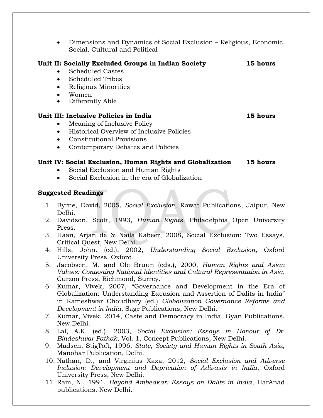Dimensions and Dynamics of Social Exclusion – Religious, Economic, Social, Cultural and Political

# **Unit II: Socially Excluded Groups in Indian Society 15 hours**

- Scheduled Castes
- Scheduled Tribes
- Religious Minorities
- Women
- Differently Able

### **Unit III: Inclusive Policies in India 15 hours**

- Meaning of Inclusive Policy
- Historical Overview of Inclusive Policies
- Constitutional Provisions
- Contemporary Debates and Policies

# **Unit IV: Social Exclusion, Human Rights and Globalization 15 hours**

- Social Exclusion and Human Rights
- Social Exclusion in the era of Globalization

- 1. Byrne, David, 2005, *Social Exclusion*, Rawat Publications, Jaipur, New Delhi.
- 2. Davidson, Scott, 1993, *Human Rights*, Philadelphia Open University Press.
- 3. Haan, Arjan de & Naila Kabeer, 2008, Social Exclusion: Two Essays, Critical Quest, New Delhi.
- 4. Hills, John. (ed.), 2002, *Understanding Social Exclusion*, Oxford University Press, Oxford.
- 5. Jacobsen, M. and Ole Bruun (eds.), 2000, *Human Rights and Asian Values: Contesting National Identities and Cultural Representation in Asia*, Curzon Press, Richmond, Surrey.
- 6. Kumar, Vivek, 2007, "Governance and Development in the Era of Globalization: Understanding Excusion and Assertion of Dalits in India" in Kameshwar Choudhary (ed.) *Globalization Governance Reforms and Development in India*, Sage Publications, New Delhi.
- 7. Kumar, Vivek, 2014, Caste and Democracy in India, Gyan Publications, New Delhi.
- 8. Lal, A.K. (ed.), 2003, *Social Exclusion: Essays in Honour of Dr. Bindeshwar Pathak*, Vol. 1, Concept Publications, New Delhi.
- 9. Madsen, StigToft, 1996, *State, Society and Human Rights in South Asia*, Manohar Publication, Delhi.
- 10. Nathan, D., and Virginius Xaxa, 2012, *Social Exclusion and Adverse Inclusion: Development and Deprivation of Adivasis in India*, Oxford University Press, New Delhi.
- 11. Ram, N., 1991, *Beyond Ambedkar: Essays on Dalits in India*, HarAnad publications, New Delhi.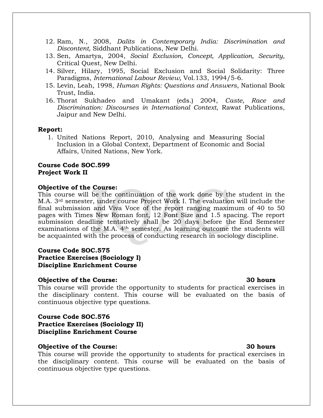- 12. Ram, N., 2008, *Dalits in Contemporary India: Discrimination and Discontent,* Siddhant Publications, New Delhi.
- 13. Sen, Amartya, 2004, *Social Exclusion, Concept, Application, Security,* Critical Quest, New Delhi.
- 14. Silver, Hilary, 1995, Social Exclusion and Social Solidarity: Three Paradigms, *International Labour Review,* Vol.133, 1994/5-6.
- 15. Levin, Leah, 1998, *Human Rights: Questions and Answers*, National Book Trust, India.
- 16. Thorat Sukhadeo and Umakant (eds.) 2004, *Caste, Race and Discrimination: Discourses in International Context*, Rawat Publications, Jaipur and New Delhi.

### **Report:**

1. United Nations Report, 2010, Analysing and Measuring Social Inclusion in a Global Context, Department of Economic and Social Affairs, United Nations, New York.

### **Course Code SOC.599 Project Work II**

### **Objective of the Course:**

This course will be the continuation of the work done by the student in the M.A. 3rd semester, under course Project Work I. The evaluation will include the final submission and Viva Voce of the report ranging maximum of 40 to 50 pages with Times New Roman font, 12 Font Size and 1.5 spacing. The report submission deadline tentatively shall be 20 days before the End Semester examinations of the M.A. 4th semester. As learning outcome the students will be acquainted with the process of conducting research in sociology discipline.

### **Course Code SOC.575 Practice Exercises (Sociology I) Discipline Enrichment Course**

### **Objective of the Course: 30 hours**

This course will provide the opportunity to students for practical exercises in the disciplinary content. This course will be evaluated on the basis of continuous objective type questions.

### **Course Code SOC.576 Practice Exercises (Sociology II)**

**Discipline Enrichment Course**

### **Objective of the Course: 30 hours**

This course will provide the opportunity to students for practical exercises in the disciplinary content. This course will be evaluated on the basis of continuous objective type questions.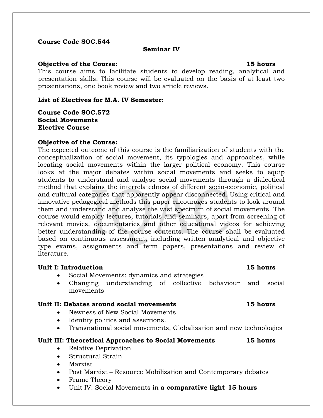### **Course Code SOC.544**

### **Seminar IV**

### **Objective of the Course: 15 hours**

This course aims to facilitate students to develop reading, analytical and presentation skills. This course will be evaluated on the basis of at least two presentations, one book review and two article reviews.

### **List of Electives for M.A. IV Semester:**

**Course Code SOC.572 Social Movements Elective Course**

### **Objective of the Course:**

The expected outcome of this course is the familiarization of students with the conceptualization of social movement, its typologies and approaches, while locating social movements within the larger political economy. This course looks at the major debates within social movements and seeks to equip students to understand and analyse social movements through a dialectical method that explains the interrelatedness of different socio-economic, political and cultural categories that apparently appear disconnected. Using critical and innovative pedagogical methods this paper encourages students to look around them and understand and analyse the vast spectrum of social movements. The course would employ lectures, tutorials and seminars, apart from screening of relevant movies, documentaries and other educational videos for achieving better understanding of the course contents. The course shall be evaluated based on continuous assessment, including written analytical and objective type exams, assignments and term papers, presentations and review of literature.

### **Unit I: Introduction 15 hours**

- Social Movements: dynamics and strategies
- Changing understanding of collective behaviour and social movements

### **Unit II: Debates around social movements 15 hours**

- Newness of New Social Movements
- Identity politics and assertions.
- Transnational social movements, Globalisation and new technologies

### **Unit III: Theoretical Approaches to Social Movements 15 hours**

- Relative Deprivation
- Structural Strain
- Marxist
- Post Marxist Resource Mobilization and Contemporary debates
- Frame Theory
- Unit IV: Social Movements in **a comparative light 15 hours**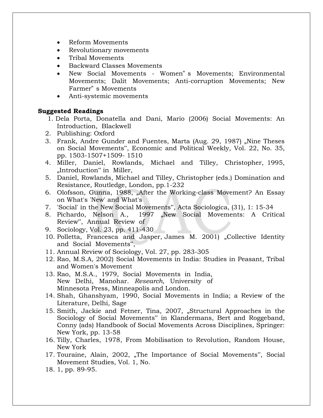- Reform Movements
- Revolutionary movements
- Tribal Movements
- Backward Classes Movements
- New Social Movements Women" s Movements; Environmental Movements; Dalit Movements; Anti-corruption Movements; New Farmer" s Movements
- Anti-systemic movements

- 1. Dela Porta, Donatella and Dani, Mario (2006) Social Movements: An Introduction, Blackwell
- 2. Publishing: Oxford
- 3. Frank, Andre Gunder and Fuentes, Marta (Aug. 29, 1987) "Nine Theses on Social Movements", Economic and Political Weekly, Vol. 22, No. 35, pp. 1503-1507+1509- 1510
- 4. Miller, Daniel, Rowlands, Michael and Tilley, Christopher, 1995, "Introduction" in Miller,
- 5. Daniel, Rowlands, Michael and Tilley, Christopher (eds.) Domination and Resistance, Routledge, London, pp.1-232
- 6. Olofsson, Gunna, 1988, "After the Working-class Movement? An Essay on What's 'New' and What's
- 7. 'Social' in the New Social Movements", Acta Sociologica, (31), 1: 15-34
- 8. Pichardo, Nelson A., 1997 "New Social Movements: A Critical Review", Annual Review of
- 9. Sociology, Vol. 23, pp. 411-430
- 10. Polletta, Francesca and Jasper, James M. 2001) "Collective Identity and Social Movements",
- 11. Annual Review of Sociology, Vol. 27, pp. 283-305
- 12. Rao, M.S.A, 2002) Social Movements in India: Studies in Peasant, Tribal and Women's Movement
- 13. Rao, M.S.A., 1979, Social Movements in India, New Delhi, Manohar. *Research*, University of Minnesota Press, Minneapolis and London.
- 14. Shah, Ghanshyam, 1990, Social Movements in India; a Review of the Literature, Delhi, Sage
- 15. Smith, Jackie and Fetner, Tina, 2007, "Structural Approaches in the Sociology of Social Movements" in Klandermans, Bert and Roggeband, Conny (ads) Handbook of Social Movements Across Disciplines, Springer: New York, pp. 13-58
- 16. Tilly, Charles, 1978, From Mobilisation to Revolution, Random House, New York
- 17. Touraine, Alain, 2002, "The Importance of Social Movements", Social Movement Studies, Vol. 1, No.

<sup>18.</sup> 1, pp. 89-95.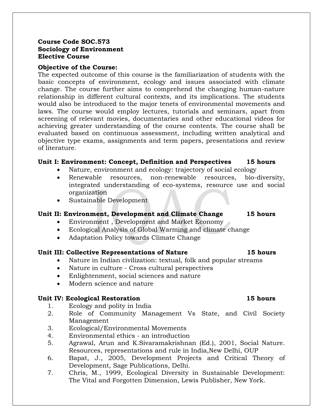### **Course Code SOC.573 Sociology of Environment Elective Course**

### **Objective of the Course:**

The expected outcome of this course is the familiarization of students with the basic concepts of environment, ecology and issues associated with climate change. The course further aims to comprehend the changing human-nature relationship in different cultural contexts, and its implications. The students would also be introduced to the major tenets of environmental movements and laws. The course would employ lectures, tutorials and seminars, apart from screening of relevant movies, documentaries and other educational videos for achieving greater understanding of the course contents. The course shall be evaluated based on continuous assessment, including written analytical and objective type exams, assignments and term papers, presentations and review of literature.

### **Unit I: Environment: Concept, Definition and Perspectives 15 hours**

- Nature, environment and ecology: trajectory of social ecology
- Renewable resources, non-renewable resources, bio-diversity, integrated understanding of eco-systems, resource use and social organization
- Sustainable Development

### **Unit II: Environment, Development and Climate Change 15 hours**

- Environment , Development and Market Economy
- Ecological Analysis of Global Warming and climate change
- Adaptation Policy towards Climate Change

### **Unit III: Collective Representations of Nature 15 hours**

- Nature in Indian civilization: textual, folk and popular streams
- Nature in culture Cross cultural perspectives
- Enlightenment, social sciences and nature
- Modern science and nature

### **Unit IV: Ecological Restoration 15 hours**

- 1. Ecology and polity in India
- 2. Role of Community Management Vs State, and Civil Society Management
- 3. Ecological/Environmental Movements
- 4. Environmental ethics an introduction
- 5. Agrawal, Arun and K.Sivaramakrishnan (Ed.), 2001, Social Nature. Resources, representations and rule in India,New Delhi, OUP
- 6. Bapat, J., 2005, Development Projects and Critical Theory of Development, Sage Publications, Delhi.
- 7. Chris, M., 1999, Ecological Diversity in Sustainable Development: The Vital and Forgotten Dimension, Lewis Publisher, New York.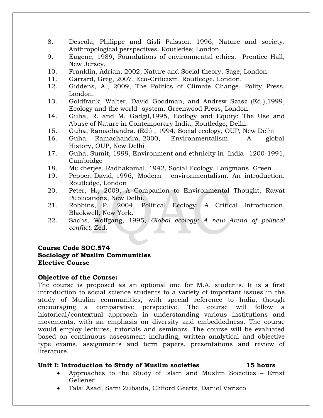- 8. Descola, Philippe and Gisli Palsson, 1996, Nature and society. Anthropological perspectives. Routledee; London.
- 9. Eugene, 1989, Foundations of environmental ethics. Prentice Hall, New Jersey.
- 10. Franklin, Adrian, 2002, Nature and Social theory, Sage, London.
- 11. Garrard, Greg, 2007, Eco-Criticism, Routledge, London.
- 12. Giddens, A., 2009, The Politics of Climate Change, Polity Press, London.
- 13. Goldfrank, Walter, David Goodman, and Andrew Szasz (Ed.),1999, Ecology and the world- system. Greenwood Press, London.
- 14. Guha, R. and M. Gadgil,1995, Ecology and Equity: The Use and Abuse of Nature in Contemporary India, Routledge, Delhi.
- 15. Guha, Ramachandra. (Ed.) , 1994, Social ecology, OUP, New Delhi
- 16. Guha. Ramachandra, 2000, Environmentalism. A global History, OUP, New Delhi
- 17. Guha, Sumit, 1999, Environment and ethnicity in India 1200-1991, Cambridge
- 18. Mukherjee, Radhakamal, 1942, Social Ecology. Longmans, Green
- 19. Pepper, David, 1996, Modern environmentalism. An introduction. Routledge, London
- 20. Peter, H., 2009, A Companion to Environmental Thought, Rawat Publications, New Delhi.
- 21. Robbins, P., 2004, Political Ecology: A Critical Introduction, Blackwell, New York.
- 22. Sachs, Wolfgang, 1995, *Global ecology: A new Arena of political conflict*, Zed.

### **Course Code SOC.574 Sociology of Muslim Communities Elective Course**

### **Objective of the Course:**

The course is proposed as an optional one for M.A. students. It is a first introduction to social science students to a variety of important issues in the study of Muslim communities, with special reference to India, though encouraging a comparative perspective. The course will follow a historical/contextual approach in understanding various institutions and movements, with an emphasis on diversity and embeddedness. The course would employ lectures, tutorials and seminars. The course will be evaluated based on continuous assessment including, written analytical and objective type exams, assignments and term papers, presentations and review of literature.

### **Unit I: Introduction to Study of Muslim societies 15 hours**

- Approaches to the Study of Islam and Muslim Societies Ernst Gellener
- Talal Asad, Sami Zubaida, Clifford Geertz, Daniel Varisco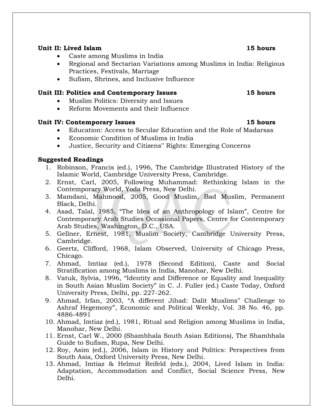# **Unit II: Lived Islam 15 hours**

- Caste among Muslims in India
- Regional and Sectarian Variations among Muslims in India: Religious Practices, Festivals, Marriage
- Sufism, Shrines, and Inclusive Influence

# **Unit III: Politics and Contemporary Issues 15 hours**

- Muslim Politics: Diversity and Issues
- Reform Movements and their Influence

# **Unit IV: Contemporary Issues 15 hours**

- Education: Access to Secular Education and the Role of Madarsas
- Economic Condition of Muslims in India
- Justice, Security and Citizens" Rights: Emerging Concerns

- 1. Robinson, Francis (ed.), 1996, The Cambridge Illustrated History of the Islamic World, Cambridge University Press, Cambridge.
- 2. Ernst, Carl, 2005, Following Muhammad: Rethinking Islam in the Contemporary World, Yoda Press, New Delhi.
- 3. Mamdani, Mahmood, 2005, Good Muslim, Bad Muslim, Permanent Black, Delhi.
- 4. Asad, Talal, 1985, "The Idea of an Anthropology of Islam", Centre for Contemporary Arab Studies Occasional Papers, Centre for Contemporary Arab Studies, Washington, D.C., USA.
- 5. Gellner, Ernest, 1981, Muslim Society, Cambridge University Press, Cambridge.
- 6. Geertz, Clifford, 1968, Islam Observed, University of Chicago Press, Chicago.
- 7. Ahmad, Imtiaz (ed.), 1978 (Second Edition), Caste and Social Stratification among Muslims in India, Manohar, New Delhi.
- 8. Vatuk, Sylvia, 1996, "Identity and Difference or Equality and Inequality in South Asian Muslim Society" in C. J. Fuller (ed.) Caste Today, Oxford University Press, Delhi, pp. 227-262.
- 9. Ahmad, Irfan, 2003, "A different Jihad: Dalit Muslims" Challenge to Ashraf Hegemony", Economic and Political Weekly, Vol. 38 No. 46, pp. 4886-4891
- 10. Ahmad, Imtiaz (ed.), 1981, Ritual and Religion among Muslims in India, Manohar, New Delhi.
- 11. Ernst, Carl W., 2000 (Shambhala South Asian Editions), The Shambhala Guide to Sufism, Rupa, New Delhi.
- 12. Roy, Asim (ed.), 2006, Islam in History and Politics: Perspectives from South Asia, Oxford University Press, New Delhi.
- 13. Ahmad, Imtiaz & Helmut Reifeld (eds.), 2004, Lived Islam in India: Adaptation, Accommodation and Conflict, Social Science Press, New Delhi.